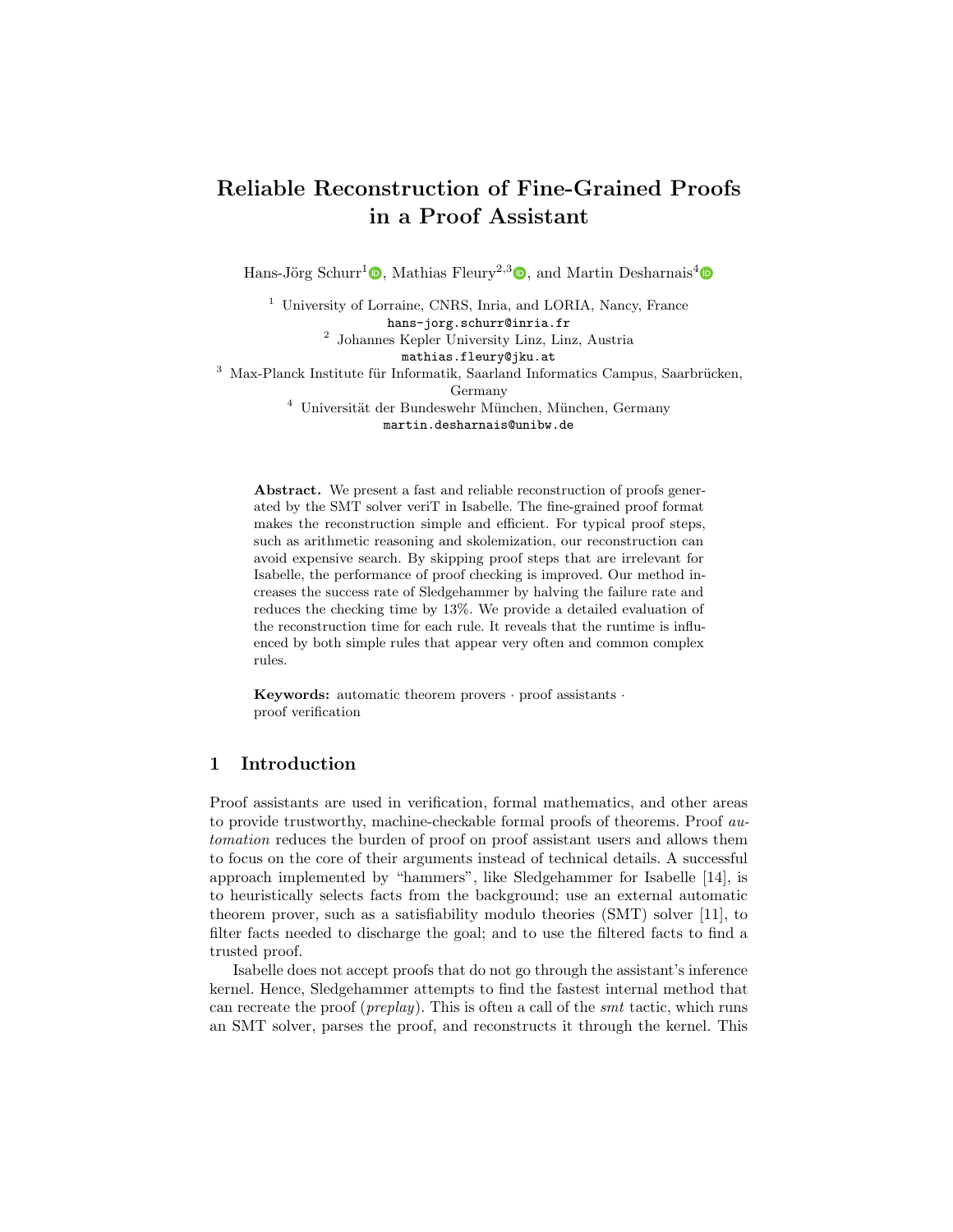# Reliable Reconstruction of Fine-Grained Proofs in a Proof Assistant

Hans-Jörg Schurr<sup>1</sup> $\textcircled{b}$ [,](http://orcid.org/0000-0002-1705-3083) Mathias Fleury<sup>2,3</sup> $\textcircled{b}$ , and Martin Desharnais<sup>4</sup>

<sup>1</sup> University of Lorraine, CNRS, Inria, and LORIA, Nancy, France hans-jorg.schurr@inria.fr 2 Johannes Kepler University Linz, Linz, Austria mathias.fleury@jku.at  $3$  Max-Planck Institute für Informatik, Saarland Informatics Campus, Saarbrücken, Germany  $4$  Universität der Bundeswehr München, München, Germany martin.desharnais@unibw.de

Abstract. We present a fast and reliable reconstruction of proofs generated by the SMT solver veriT in Isabelle. The fine-grained proof format makes the reconstruction simple and efficient. For typical proof steps, such as arithmetic reasoning and skolemization, our reconstruction can avoid expensive search. By skipping proof steps that are irrelevant for Isabelle, the performance of proof checking is improved. Our method increases the success rate of Sledgehammer by halving the failure rate and reduces the checking time by 13%. We provide a detailed evaluation of the reconstruction time for each rule. It reveals that the runtime is influenced by both simple rules that appear very often and common complex rules.

Keywords: automatic theorem provers · proof assistants · proof verification

# 1 Introduction

Proof assistants are used in verification, formal mathematics, and other areas to provide trustworthy, machine-checkable formal proofs of theorems. Proof automation reduces the burden of proof on proof assistant users and allows them to focus on the core of their arguments instead of technical details. A successful approach implemented by "hammers", like Sledgehammer for Isabelle [\[14\]](#page-16-0), is to heuristically selects facts from the background; use an external automatic theorem prover, such as a satisfiability modulo theories (SMT) solver [\[11\]](#page-16-1), to filter facts needed to discharge the goal; and to use the filtered facts to find a trusted proof.

Isabelle does not accept proofs that do not go through the assistant's inference kernel. Hence, Sledgehammer attempts to find the fastest internal method that can recreate the proof (preplay). This is often a call of the smt tactic, which runs an SMT solver, parses the proof, and reconstructs it through the kernel. This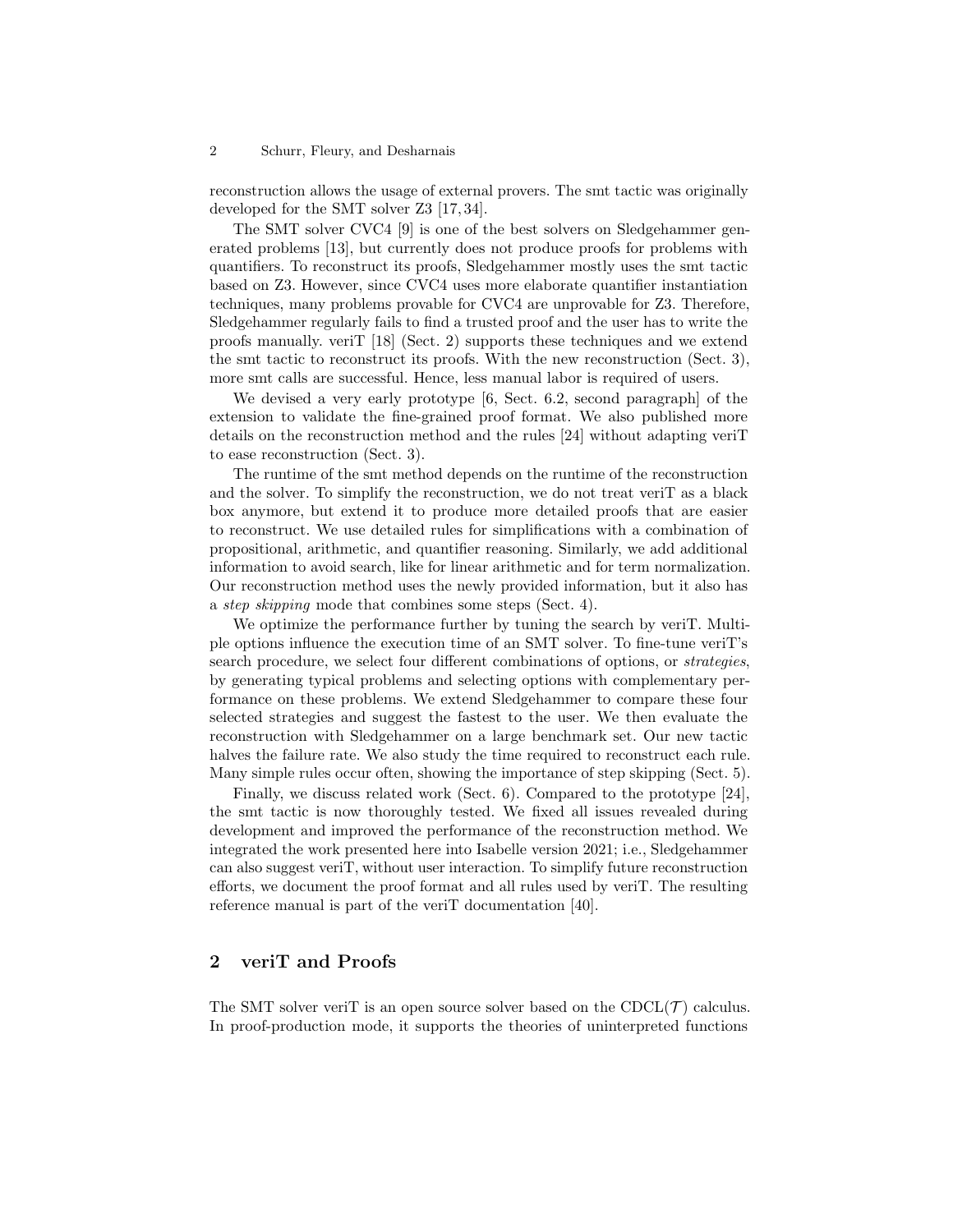reconstruction allows the usage of external provers. The smt tactic was originally developed for the SMT solver Z3 [\[17,](#page-16-2) [34\]](#page-17-0).

The SMT solver CVC4 [\[9\]](#page-15-0) is one of the best solvers on Sledgehammer generated problems [\[13\]](#page-16-3), but currently does not produce proofs for problems with quantifiers. To reconstruct its proofs, Sledgehammer mostly uses the smt tactic based on Z3. However, since CVC4 uses more elaborate quantifier instantiation techniques, many problems provable for CVC4 are unprovable for Z3. Therefore, Sledgehammer regularly fails to find a trusted proof and the user has to write the proofs manually. veriT [\[18\]](#page-16-4) (Sect. [2\)](#page-1-0) supports these techniques and we extend the smt tactic to reconstruct its proofs. With the new reconstruction (Sect. [3\)](#page-2-0), more smt calls are successful. Hence, less manual labor is required of users.

We devised a very early prototype [\[6,](#page-15-1) Sect. 6.2, second paragraph] of the extension to validate the fine-grained proof format. We also published more details on the reconstruction method and the rules [\[24\]](#page-16-5) without adapting veriT to ease reconstruction (Sect. [3\)](#page-2-0).

The runtime of the smt method depends on the runtime of the reconstruction and the solver. To simplify the reconstruction, we do not treat veriT as a black box anymore, but extend it to produce more detailed proofs that are easier to reconstruct. We use detailed rules for simplifications with a combination of propositional, arithmetic, and quantifier reasoning. Similarly, we add additional information to avoid search, like for linear arithmetic and for term normalization. Our reconstruction method uses the newly provided information, but it also has a step skipping mode that combines some steps (Sect. [4\)](#page-3-0).

We optimize the performance further by tuning the search by veriT. Multiple options influence the execution time of an SMT solver. To fine-tune veriT's search procedure, we select four different combinations of options, or strategies, by generating typical problems and selecting options with complementary performance on these problems. We extend Sledgehammer to compare these four selected strategies and suggest the fastest to the user. We then evaluate the reconstruction with Sledgehammer on a large benchmark set. Our new tactic halves the failure rate. We also study the time required to reconstruct each rule. Many simple rules occur often, showing the importance of step skipping (Sect. [5\)](#page-6-0).

Finally, we discuss related work (Sect. [6\)](#page-11-0). Compared to the prototype [\[24\]](#page-16-5), the smt tactic is now thoroughly tested. We fixed all issues revealed during development and improved the performance of the reconstruction method. We integrated the work presented here into Isabelle version 2021; i.e., Sledgehammer can also suggest veriT, without user interaction. To simplify future reconstruction efforts, we document the proof format and all rules used by veriT. The resulting reference manual is part of the veriT documentation [\[40\]](#page-17-1).

# <span id="page-1-0"></span>2 veriT and Proofs

The SMT solver veriT is an open source solver based on the  $CDCL(\mathcal{T})$  calculus. In proof-production mode, it supports the theories of uninterpreted functions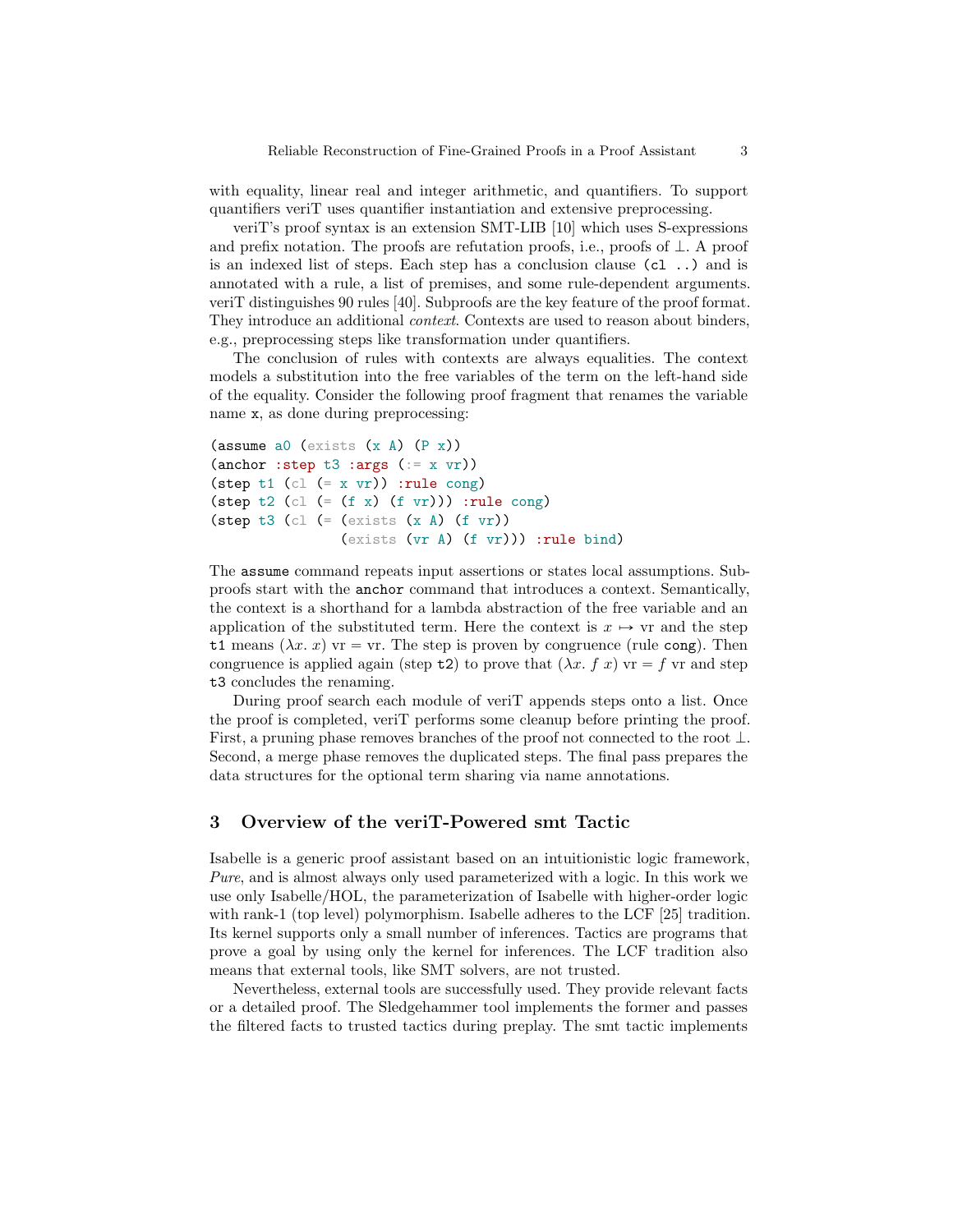with equality, linear real and integer arithmetic, and quantifiers. To support quantifiers veriT uses quantifier instantiation and extensive preprocessing.

veriT's proof syntax is an extension SMT-LIB [\[10\]](#page-15-2) which uses S-expressions and prefix notation. The proofs are refutation proofs, i.e., proofs of  $\perp$ . A proof is an indexed list of steps. Each step has a conclusion clause (cl ..) and is annotated with a rule, a list of premises, and some rule-dependent arguments. veriT distinguishes 90 rules [\[40\]](#page-17-1). Subproofs are the key feature of the proof format. They introduce an additional *context*. Contexts are used to reason about binders, e.g., preprocessing steps like transformation under quantifiers.

The conclusion of rules with contexts are always equalities. The context models a substitution into the free variables of the term on the left-hand side of the equality. Consider the following proof fragment that renames the variable name x, as done during preprocessing:

```
(\text{assume a0 (exists (x A) (P x))})(anchor : step t3 : args (= x yr))(step t1 (cl (= x \text{ yr})) :rule cong)
(step t2 (cl (= (f x) (f v r))) :rule cong)
(\text{step } t3 \text{ (cl } (= (\text{exists } (x A) (f wr)))(exists (vr A) (f vr))) :rule bind)
```
The assume command repeats input assertions or states local assumptions. Subproofs start with the anchor command that introduces a context. Semantically, the context is a shorthand for a lambda abstraction of the free variable and an application of the substituted term. Here the context is  $x \mapsto \nu r$  and the step t1 means  $(\lambda x, x)$  vr  $=$  vr. The step is proven by congruence (rule cong). Then congruence is applied again (step t2) to prove that  $(\lambda x. f x)$  vr = f vr and step t3 concludes the renaming.

During proof search each module of veriT appends steps onto a list. Once the proof is completed, veriT performs some cleanup before printing the proof. First, a pruning phase removes branches of the proof not connected to the root  $\perp$ . Second, a merge phase removes the duplicated steps. The final pass prepares the data structures for the optional term sharing via name annotations.

# <span id="page-2-0"></span>3 Overview of the veriT-Powered smt Tactic

Isabelle is a generic proof assistant based on an intuitionistic logic framework, Pure, and is almost always only used parameterized with a logic. In this work we use only Isabelle/HOL, the parameterization of Isabelle with higher-order logic with rank-1 (top level) polymorphism. Isabelle adheres to the LCF [\[25\]](#page-17-2) tradition. Its kernel supports only a small number of inferences. Tactics are programs that prove a goal by using only the kernel for inferences. The LCF tradition also means that external tools, like SMT solvers, are not trusted.

Nevertheless, external tools are successfully used. They provide relevant facts or a detailed proof. The Sledgehammer tool implements the former and passes the filtered facts to trusted tactics during preplay. The smt tactic implements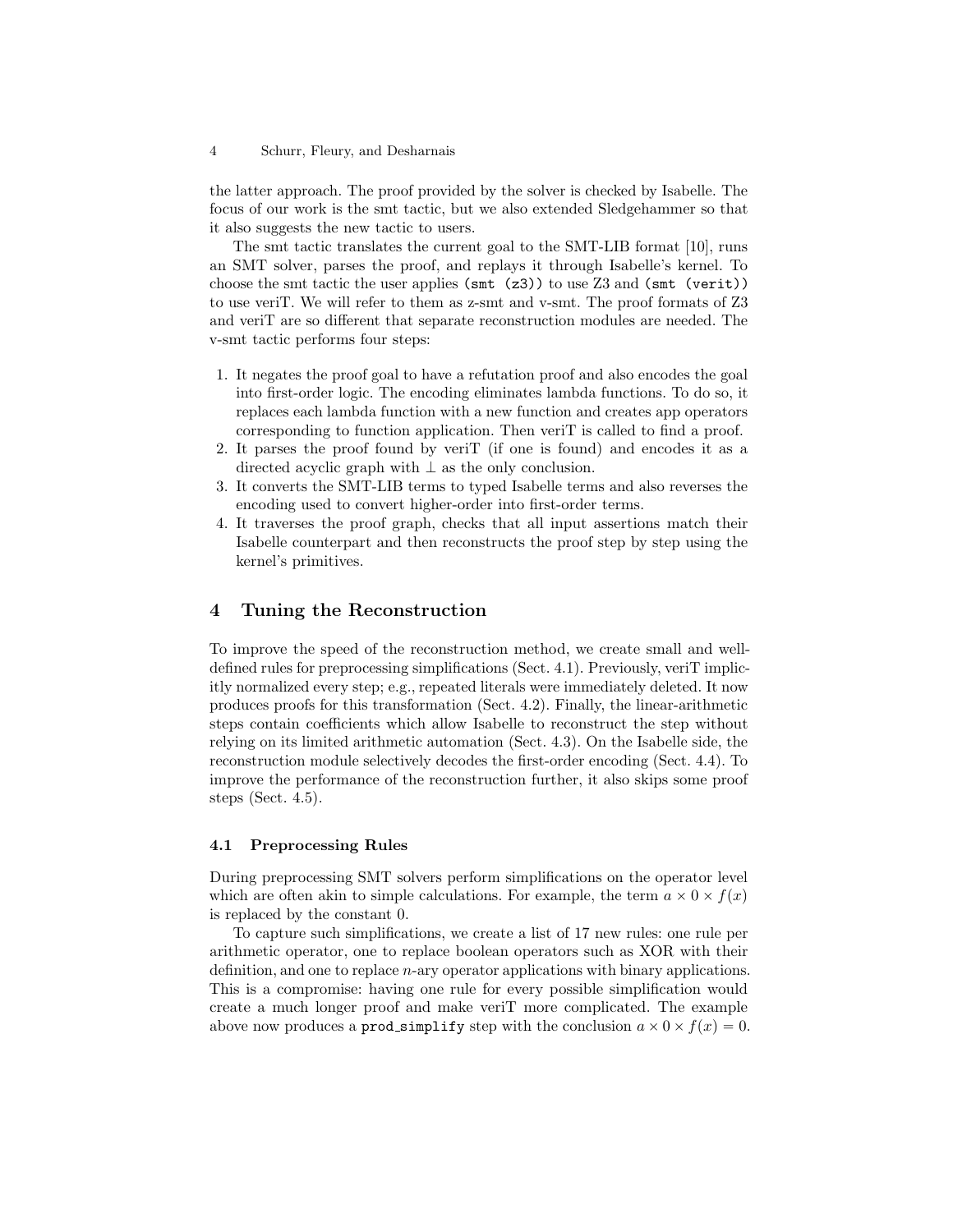the latter approach. The proof provided by the solver is checked by Isabelle. The focus of our work is the smt tactic, but we also extended Sledgehammer so that it also suggests the new tactic to users.

The smt tactic translates the current goal to the SMT-LIB format [\[10\]](#page-15-2), runs an SMT solver, parses the proof, and replays it through Isabelle's kernel. To choose the smt tactic the user applies ( $\text{smt}$  ( $\text{z3}$ )) to use Z3 and ( $\text{smt}$  (verit)) to use veriT. We will refer to them as z-smt and v-smt. The proof formats of Z3 and veriT are so different that separate reconstruction modules are needed. The v-smt tactic performs four steps:

- 1. It negates the proof goal to have a refutation proof and also encodes the goal into first-order logic. The encoding eliminates lambda functions. To do so, it replaces each lambda function with a new function and creates app operators corresponding to function application. Then veriT is called to find a proof.
- 2. It parses the proof found by veriT (if one is found) and encodes it as a directed acyclic graph with  $\perp$  as the only conclusion.
- 3. It converts the SMT-LIB terms to typed Isabelle terms and also reverses the encoding used to convert higher-order into first-order terms.
- 4. It traverses the proof graph, checks that all input assertions match their Isabelle counterpart and then reconstructs the proof step by step using the kernel's primitives.

# <span id="page-3-0"></span>4 Tuning the Reconstruction

To improve the speed of the reconstruction method, we create small and welldefined rules for preprocessing simplifications (Sect. [4.1\)](#page-3-1). Previously, veriT implicitly normalized every step; e.g., repeated literals were immediately deleted. It now produces proofs for this transformation (Sect. [4.2\)](#page-4-0). Finally, the linear-arithmetic steps contain coefficients which allow Isabelle to reconstruct the step without relying on its limited arithmetic automation (Sect. [4.3\)](#page-4-1). On the Isabelle side, the reconstruction module selectively decodes the first-order encoding (Sect. [4.4\)](#page-5-0). To improve the performance of the reconstruction further, it also skips some proof steps (Sect. [4.5\)](#page-6-1).

### <span id="page-3-1"></span>4.1 Preprocessing Rules

During preprocessing SMT solvers perform simplifications on the operator level which are often akin to simple calculations. For example, the term  $a \times 0 \times f(x)$ is replaced by the constant 0.

To capture such simplifications, we create a list of 17 new rules: one rule per arithmetic operator, one to replace boolean operators such as XOR with their definition, and one to replace n-ary operator applications with binary applications. This is a compromise: having one rule for every possible simplification would create a much longer proof and make veriT more complicated. The example above now produces a **prod** simplify step with the conclusion  $a \times 0 \times f(x) = 0$ .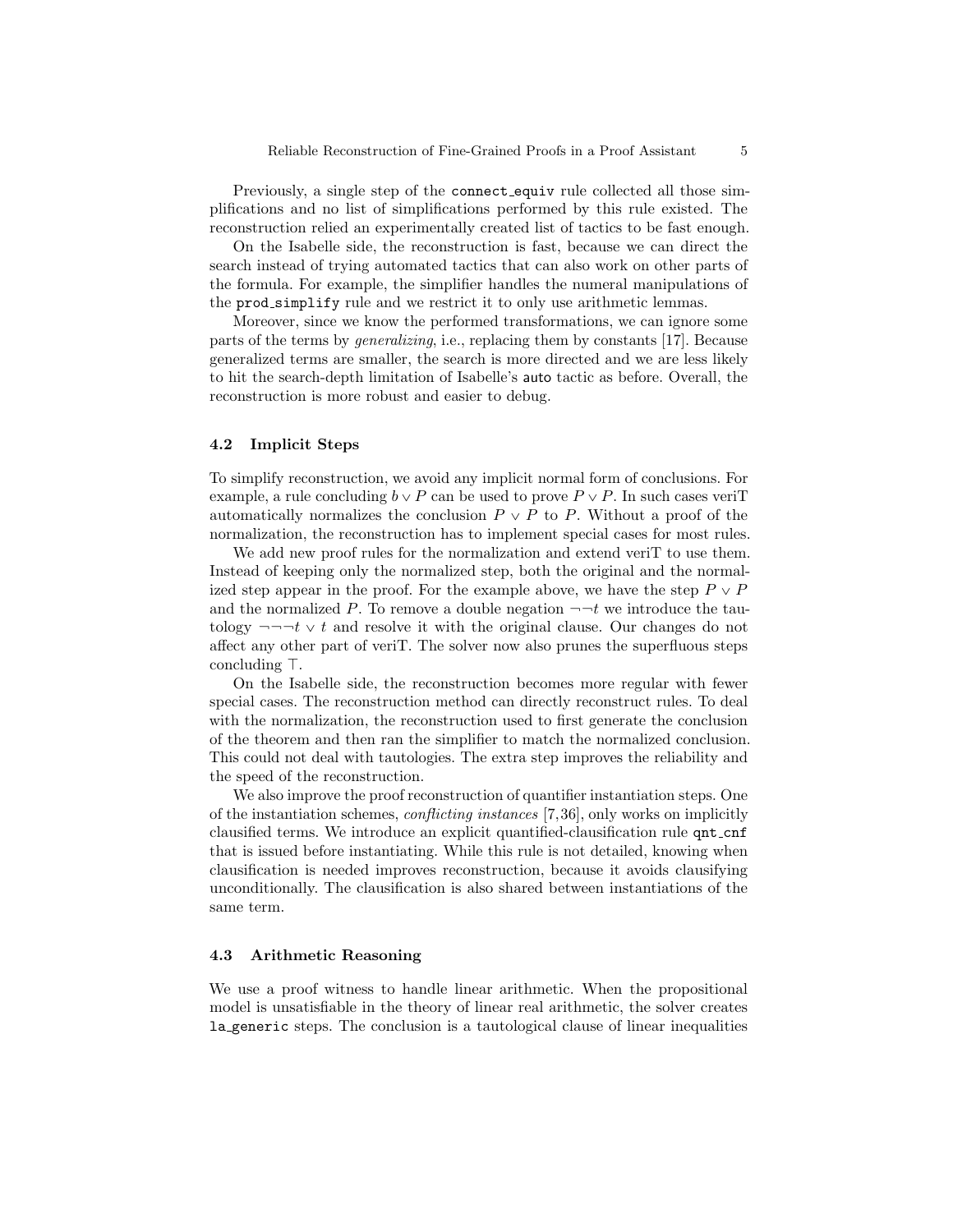Previously, a single step of the connect equiv rule collected all those simplifications and no list of simplifications performed by this rule existed. The reconstruction relied an experimentally created list of tactics to be fast enough.

On the Isabelle side, the reconstruction is fast, because we can direct the search instead of trying automated tactics that can also work on other parts of the formula. For example, the simplifier handles the numeral manipulations of the prod simplify rule and we restrict it to only use arithmetic lemmas.

Moreover, since we know the performed transformations, we can ignore some parts of the terms by generalizing, i.e., replacing them by constants [\[17\]](#page-16-2). Because generalized terms are smaller, the search is more directed and we are less likely to hit the search-depth limitation of Isabelle's auto tactic as before. Overall, the reconstruction is more robust and easier to debug.

### <span id="page-4-0"></span>4.2 Implicit Steps

To simplify reconstruction, we avoid any implicit normal form of conclusions. For example, a rule concluding  $b \vee P$  can be used to prove  $P \vee P$ . In such cases veriT automatically normalizes the conclusion  $P \vee P$  to P. Without a proof of the normalization, the reconstruction has to implement special cases for most rules.

We add new proof rules for the normalization and extend verity to use them. Instead of keeping only the normalized step, both the original and the normalized step appear in the proof. For the example above, we have the step  $P \vee P$ and the normalized P. To remove a double negation  $\neg\neg t$  we introduce the tautology  $-\neg\neg t \vee t$  and resolve it with the original clause. Our changes do not affect any other part of veriT. The solver now also prunes the superfluous steps concluding  $\top$ .

On the Isabelle side, the reconstruction becomes more regular with fewer special cases. The reconstruction method can directly reconstruct rules. To deal with the normalization, the reconstruction used to first generate the conclusion of the theorem and then ran the simplifier to match the normalized conclusion. This could not deal with tautologies. The extra step improves the reliability and the speed of the reconstruction.

We also improve the proof reconstruction of quantifier instantiation steps. One of the instantiation schemes, conflicting instances [\[7,](#page-15-3)[36\]](#page-17-3), only works on implicitly clausified terms. We introduce an explicit quantified-clausification rule qnt cnf that is issued before instantiating. While this rule is not detailed, knowing when clausification is needed improves reconstruction, because it avoids clausifying unconditionally. The clausification is also shared between instantiations of the same term.

### <span id="page-4-1"></span>4.3 Arithmetic Reasoning

We use a proof witness to handle linear arithmetic. When the propositional model is unsatisfiable in the theory of linear real arithmetic, the solver creates la generic steps. The conclusion is a tautological clause of linear inequalities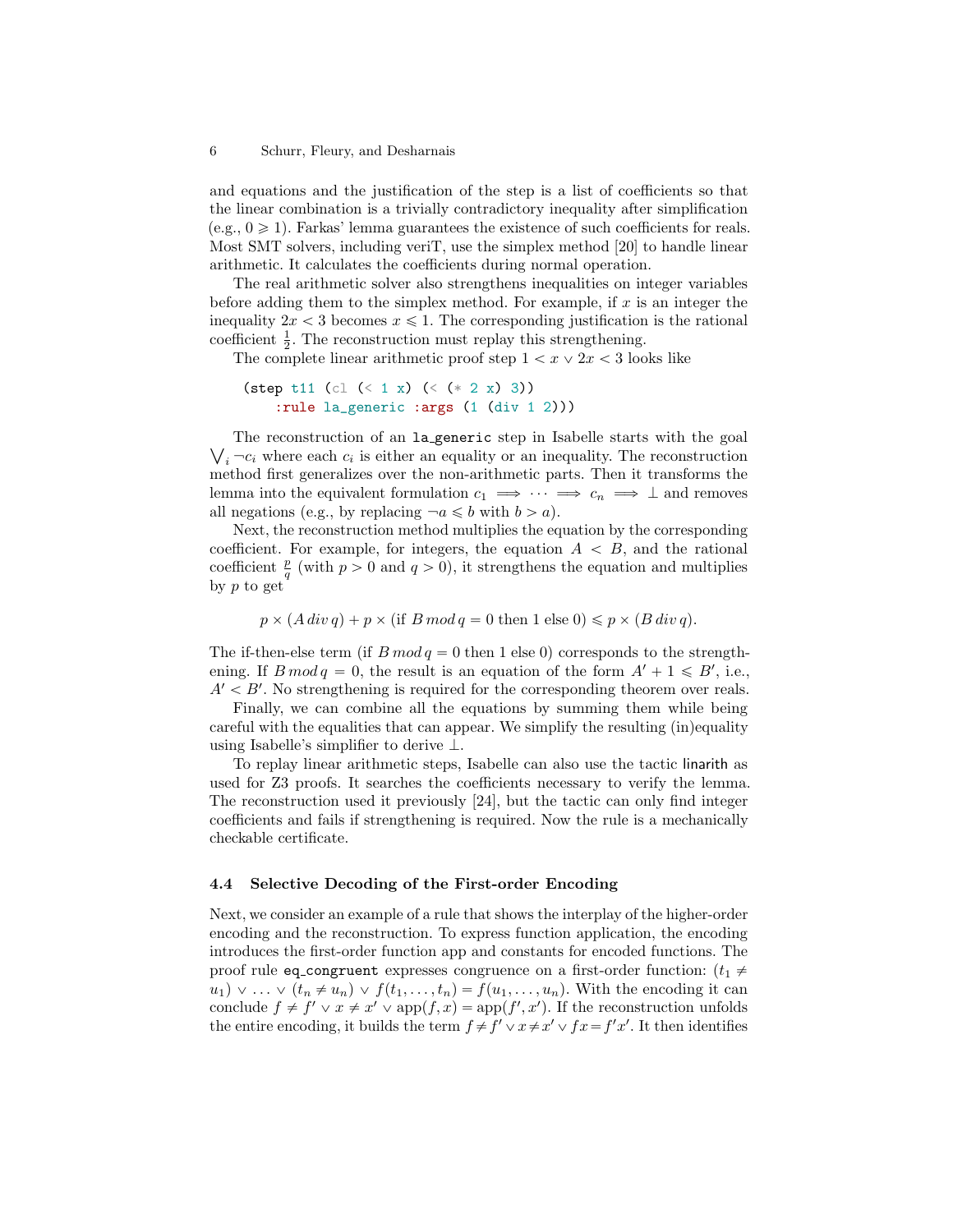and equations and the justification of the step is a list of coefficients so that the linear combination is a trivially contradictory inequality after simplification  $(e.g., 0 \geq 1)$ . Farkas' lemma guarantees the existence of such coefficients for reals. Most SMT solvers, including veriT, use the simplex method [\[20\]](#page-16-6) to handle linear arithmetic. It calculates the coefficients during normal operation.

The real arithmetic solver also strengthens inequalities on integer variables before adding them to the simplex method. For example, if  $x$  is an integer the inequality  $2x < 3$  becomes  $x \le 1$ . The corresponding justification is the rational coefficient  $\frac{1}{2}$ . The reconstruction must replay this strengthening.

The complete linear arithmetic proof step  $1 < x \vee 2x < 3$  looks like

```
(step t11 (cl (< 1 x) (< (* 2 x) 3))
    :rule la_generic :args (1 (div 1 2)))
```
The reconstruction of an la generic step in Isabelle starts with the goal  $i_i$ <sup>--</sup> $c_i$  where each  $c_i$  is either an equality or an inequality. The reconstruction method first generalizes over the non-arithmetic parts. Then it transforms the lemma into the equivalent formulation  $c_1 \implies \cdots \implies c_n \implies \bot$  and removes all negations (e.g., by replacing  $\neg a \leq b$  with  $b > a$ ).

Next, the reconstruction method multiplies the equation by the corresponding coefficient. For example, for integers, the equation  $A \leq B$ , and the rational coefficient  $\frac{p}{q}$  (with  $p > 0$  and  $q > 0$ ), it strengthens the equation and multiplies by p to get

$$
p \times (A \operatorname{div} q) + p \times (\text{if } B \operatorname{mod} q = 0 \text{ then } 1 \text{ else } 0) \leq p \times (B \operatorname{div} q).
$$

The if-then-else term (if  $B \mod q = 0$  then 1 else 0) corresponds to the strengthening. If  $B \mod q = 0$ , the result is an equation of the form  $A' + 1 \le B'$ , i.e.,  $A' < B'$ . No strengthening is required for the corresponding theorem over reals.

Finally, we can combine all the equations by summing them while being careful with the equalities that can appear. We simplify the resulting (in)equality using Isabelle's simplifier to derive  $\perp$ .

To replay linear arithmetic steps, Isabelle can also use the tactic linarith as used for Z3 proofs. It searches the coefficients necessary to verify the lemma. The reconstruction used it previously [\[24\]](#page-16-5), but the tactic can only find integer coefficients and fails if strengthening is required. Now the rule is a mechanically checkable certificate.

### <span id="page-5-0"></span>4.4 Selective Decoding of the First-order Encoding

Next, we consider an example of a rule that shows the interplay of the higher-order encoding and the reconstruction. To express function application, the encoding introduces the first-order function app and constants for encoded functions. The proof rule eq\_congruent expresses congruence on a first-order function:  $(t_1 \neq$  $u_1 \triangleright \ldots \triangleright (t_n \neq u_n) \triangleright f(t_1, \ldots, t_n) = f(u_1, \ldots, u_n)$ . With the encoding it can conclude  $f \neq f' \vee x \neq x' \vee \text{app}(f, x) = \text{app}(f', x')$ . If the reconstruction unfolds the entire encoding, it builds the term  $f \neq f' \vee x \neq x' \vee fx = f'x'$ . It then identifies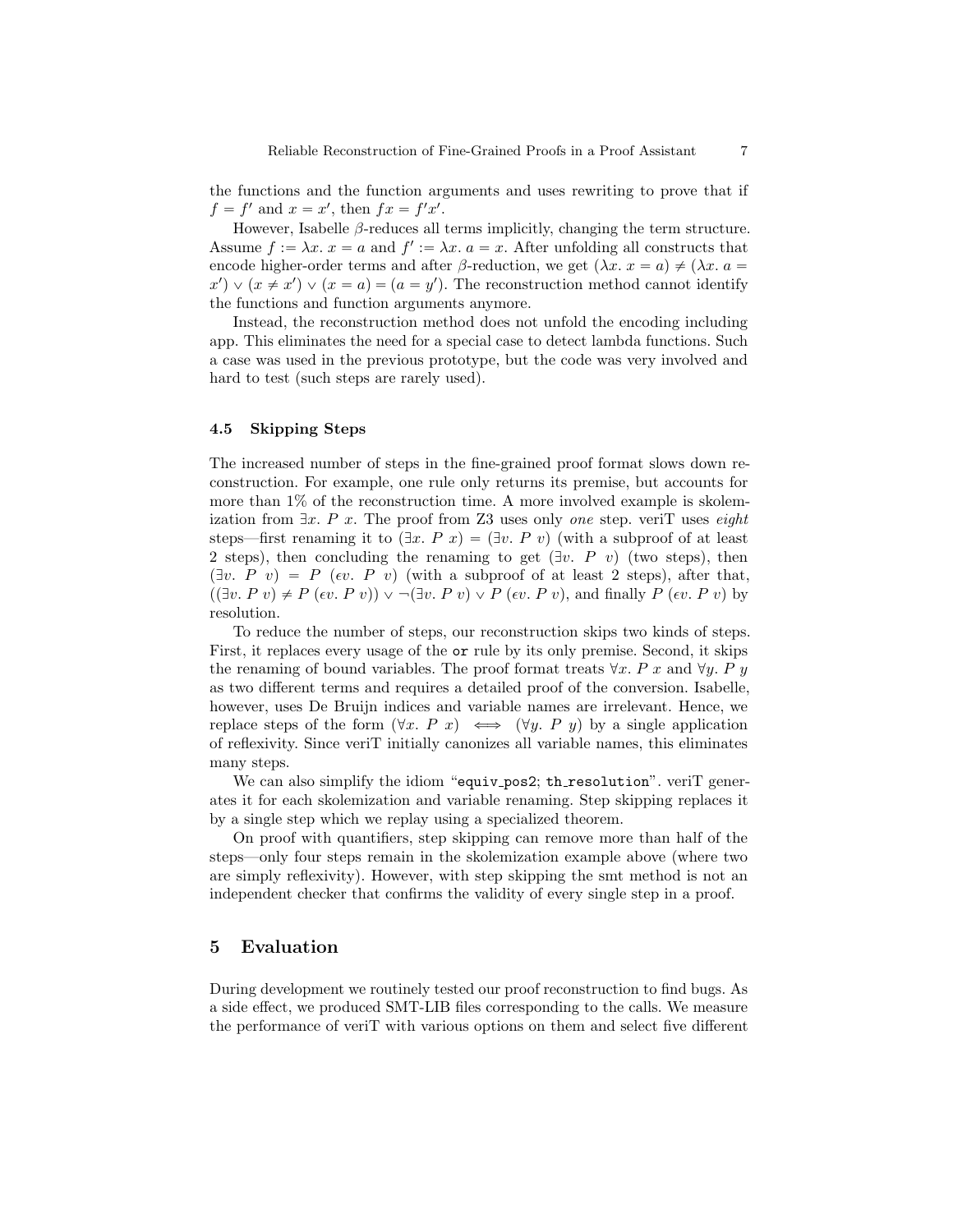the functions and the function arguments and uses rewriting to prove that if  $f = f'$  and  $x = x'$ , then  $fx = f'x'$ .

However, Isabelle  $\beta$ -reduces all terms implicitly, changing the term structure. Assume  $f := \lambda x$ .  $x = a$  and  $f' := \lambda x$ .  $a = x$ . After unfolding all constructs that encode higher-order terms and after β-reduction, we get  $(\lambda x. x = a) \neq (\lambda x. a = a)$  $x'$   $\vee$   $(x \neq x') \vee (x = a) = (a = y')$ . The reconstruction method cannot identify the functions and function arguments anymore.

Instead, the reconstruction method does not unfold the encoding including app. This eliminates the need for a special case to detect lambda functions. Such a case was used in the previous prototype, but the code was very involved and hard to test (such steps are rarely used).

### <span id="page-6-1"></span>4.5 Skipping Steps

The increased number of steps in the fine-grained proof format slows down reconstruction. For example, one rule only returns its premise, but accounts for more than 1% of the reconstruction time. A more involved example is skolemization from  $\exists x. P x$ . The proof from Z3 uses only one step. veriT uses eight steps—first renaming it to  $(\exists x. P x) = (\exists v. P v)$  (with a subproof of at least 2 steps), then concluding the renaming to get  $(\exists v \cdot P \, v)$  (two steps), then  $(\exists v. \ P \ v) = P \ (ev. \ P \ v)$  (with a subproof of at least 2 steps), after that,  $((\exists v. P v) \neq P (ev. P v)) \vee \neg (\exists v. P v) \vee P (ev. P v)$ , and finally  $P (ev. P v)$  by resolution.

To reduce the number of steps, our reconstruction skips two kinds of steps. First, it replaces every usage of the or rule by its only premise. Second, it skips the renaming of bound variables. The proof format treats  $\forall x$ . P x and  $\forall y$ . P y as two different terms and requires a detailed proof of the conversion. Isabelle, however, uses De Bruijn indices and variable names are irrelevant. Hence, we replace steps of the form  $(\forall x. \ P \ x) \iff (\forall y. \ P \ y)$  by a single application of reflexivity. Since veriT initially canonizes all variable names, this eliminates many steps.

We can also simplify the idiom "equiv\_pos2; th\_resolution". veriT generates it for each skolemization and variable renaming. Step skipping replaces it by a single step which we replay using a specialized theorem.

On proof with quantifiers, step skipping can remove more than half of the steps—only four steps remain in the skolemization example above (where two are simply reflexivity). However, with step skipping the smt method is not an independent checker that confirms the validity of every single step in a proof.

## <span id="page-6-0"></span>5 Evaluation

During development we routinely tested our proof reconstruction to find bugs. As a side effect, we produced SMT-LIB files corresponding to the calls. We measure the performance of veriT with various options on them and select five different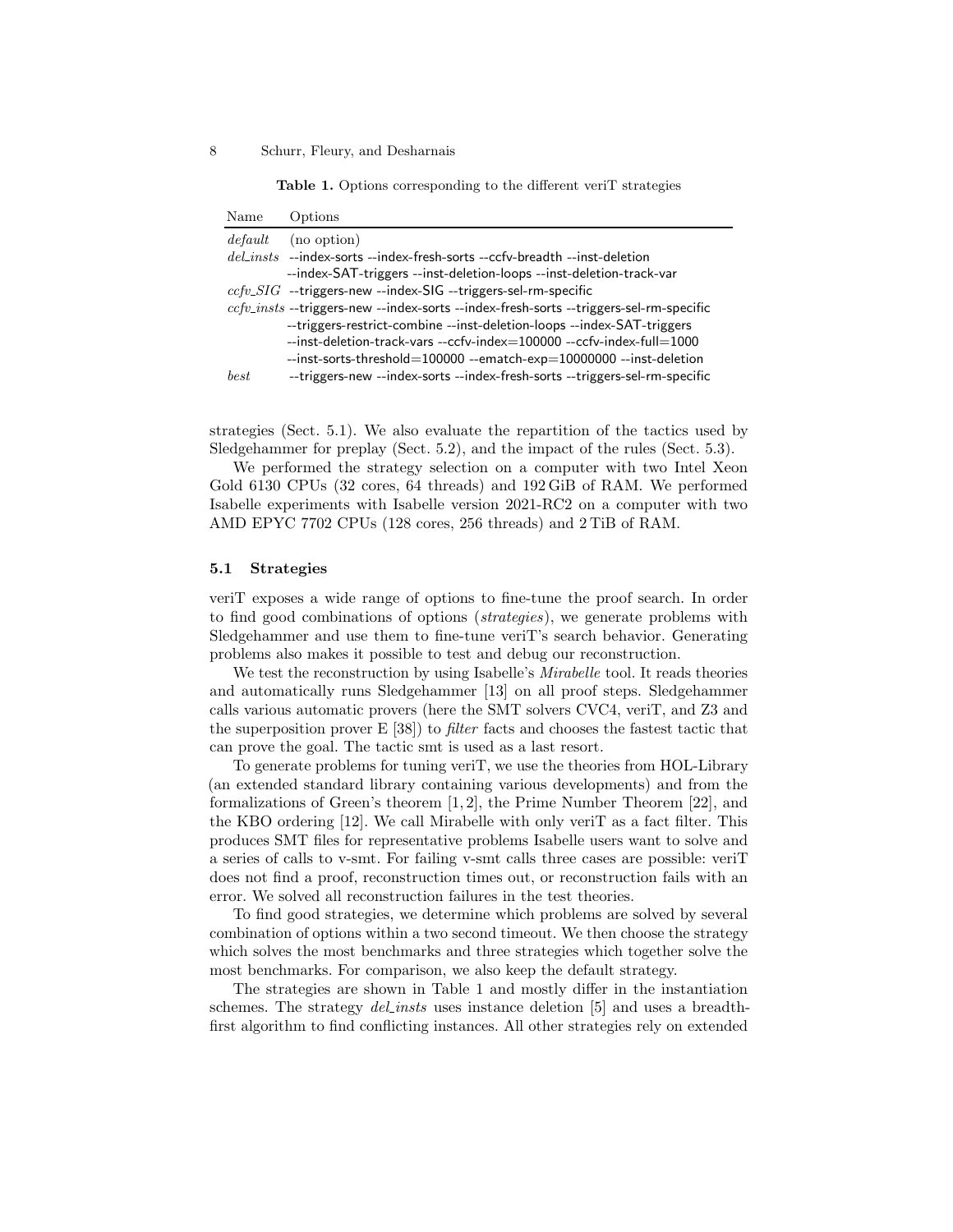<span id="page-7-1"></span>Table 1. Options corresponding to the different veriT strategies

| Name    | Options                                                                                |
|---------|----------------------------------------------------------------------------------------|
| default | (no option)                                                                            |
|         | $del_{.insts$ --index-sorts --index-fresh-sorts --ccfv-breadth --inst-deletion         |
|         | --index-SAT-triggers --inst-deletion-loops --inst-deletion-track-var                   |
|         | $ccfv\_SIG$ --triggers-new --index-SIG --triggers-sel-rm-specific                      |
|         | ccfv_insts --triggers-new --index-sorts --index-fresh-sorts --triggers-sel-rm-specific |
|         | --triggers-restrict-combine --inst-deletion-loops --index-SAT-triggers                 |
|         | --inst-deletion-track-vars --ccfv-index=100000 --ccfv-index-full=1000                  |
|         | --inst-sorts-threshold=100000 --ematch-exp=10000000 --inst-deletion                    |
| best    | --triggers-new --index-sorts --index-fresh-sorts --triggers-sel-rm-specific            |
|         |                                                                                        |

strategies (Sect. [5.1\)](#page-7-0). We also evaluate the repartition of the tactics used by Sledgehammer for preplay (Sect. [5.2\)](#page-8-0), and the impact of the rules (Sect. [5.3\)](#page-10-0).

We performed the strategy selection on a computer with two Intel Xeon Gold 6130 CPUs (32 cores, 64 threads) and 192 GiB of RAM. We performed Isabelle experiments with Isabelle version 2021-RC2 on a computer with two AMD EPYC 7702 CPUs (128 cores, 256 threads) and 2 TiB of RAM.

#### <span id="page-7-0"></span>5.1 Strategies

veriT exposes a wide range of options to fine-tune the proof search. In order to find good combinations of options (strategies), we generate problems with Sledgehammer and use them to fine-tune veriT's search behavior. Generating problems also makes it possible to test and debug our reconstruction.

We test the reconstruction by using Isabelle's *Mirabelle* tool. It reads theories and automatically runs Sledgehammer [\[13\]](#page-16-3) on all proof steps. Sledgehammer calls various automatic provers (here the SMT solvers CVC4, veriT, and Z3 and the superposition prover  $E[38]$  $E[38]$  to *filter* facts and chooses the fastest tactic that can prove the goal. The tactic smt is used as a last resort.

To generate problems for tuning veriT, we use the theories from HOL-Library (an extended standard library containing various developments) and from the formalizations of Green's theorem [\[1,](#page-15-4) [2\]](#page-15-5), the Prime Number Theorem [\[22\]](#page-16-7), and the KBO ordering [\[12\]](#page-16-8). We call Mirabelle with only veriT as a fact filter. This produces SMT files for representative problems Isabelle users want to solve and a series of calls to v-smt. For failing v-smt calls three cases are possible: veriT does not find a proof, reconstruction times out, or reconstruction fails with an error. We solved all reconstruction failures in the test theories.

To find good strategies, we determine which problems are solved by several combination of options within a two second timeout. We then choose the strategy which solves the most benchmarks and three strategies which together solve the most benchmarks. For comparison, we also keep the default strategy.

The strategies are shown in Table [1](#page-7-1) and mostly differ in the instantiation schemes. The strategy *del insts* uses instance deletion [\[5\]](#page-15-6) and uses a breadthfirst algorithm to find conflicting instances. All other strategies rely on extended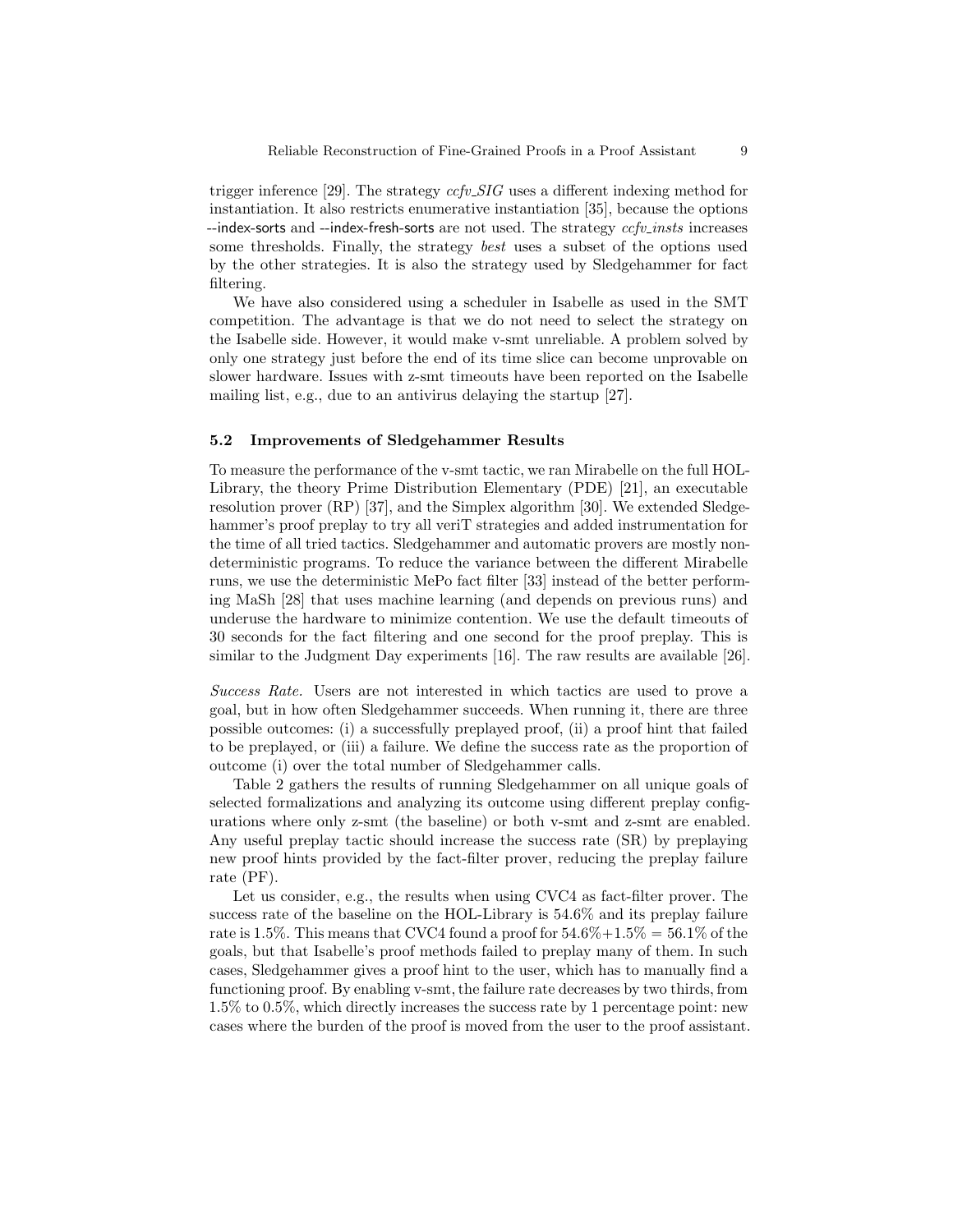trigger inference [\[29\]](#page-17-5). The strategy  $ccfv\_SIG$  uses a different indexing method for instantiation. It also restricts enumerative instantiation [\[35\]](#page-17-6), because the options  $-$ -index-sorts and  $-$ -index-fresh-sorts are not used. The strategy  $ccfv\_insts$  increases some thresholds. Finally, the strategy best uses a subset of the options used by the other strategies. It is also the strategy used by Sledgehammer for fact filtering.

We have also considered using a scheduler in Isabelle as used in the SMT competition. The advantage is that we do not need to select the strategy on the Isabelle side. However, it would make v-smt unreliable. A problem solved by only one strategy just before the end of its time slice can become unprovable on slower hardware. Issues with z-smt timeouts have been reported on the Isabelle mailing list, e.g., due to an antivirus delaying the startup [\[27\]](#page-17-7).

### <span id="page-8-0"></span>5.2 Improvements of Sledgehammer Results

To measure the performance of the v-smt tactic, we ran Mirabelle on the full HOL-Library, the theory Prime Distribution Elementary (PDE) [\[21\]](#page-16-9), an executable resolution prover (RP) [\[37\]](#page-17-8), and the Simplex algorithm [\[30\]](#page-17-9). We extended Sledgehammer's proof preplay to try all veriT strategies and added instrumentation for the time of all tried tactics. Sledgehammer and automatic provers are mostly nondeterministic programs. To reduce the variance between the different Mirabelle runs, we use the deterministic MePo fact filter [\[33\]](#page-17-10) instead of the better performing MaSh [\[28\]](#page-17-11) that uses machine learning (and depends on previous runs) and underuse the hardware to minimize contention. We use the default timeouts of 30 seconds for the fact filtering and one second for the proof preplay. This is similar to the Judgment Day experiments [\[16\]](#page-16-10). The raw results are available [\[26\]](#page-17-12).

Success Rate. Users are not interested in which tactics are used to prove a goal, but in how often Sledgehammer succeeds. When running it, there are three possible outcomes: (i) a successfully preplayed proof, (ii) a proof hint that failed to be preplayed, or (iii) a failure. We define the success rate as the proportion of outcome (i) over the total number of Sledgehammer calls.

Table [2](#page-9-0) gathers the results of running Sledgehammer on all unique goals of selected formalizations and analyzing its outcome using different preplay configurations where only z-smt (the baseline) or both v-smt and z-smt are enabled. Any useful preplay tactic should increase the success rate (SR) by preplaying new proof hints provided by the fact-filter prover, reducing the preplay failure rate (PF).

Let us consider, e.g., the results when using CVC4 as fact-filter prover. The success rate of the baseline on the HOL-Library is 54.6% and its preplay failure rate is 1.5%. This means that CVC4 found a proof for  $54.6\% + 1.5\% = 56.1\%$  of the goals, but that Isabelle's proof methods failed to preplay many of them. In such cases, Sledgehammer gives a proof hint to the user, which has to manually find a functioning proof. By enabling v-smt, the failure rate decreases by two thirds, from 1.5% to 0.5%, which directly increases the success rate by 1 percentage point: new cases where the burden of the proof is moved from the user to the proof assistant.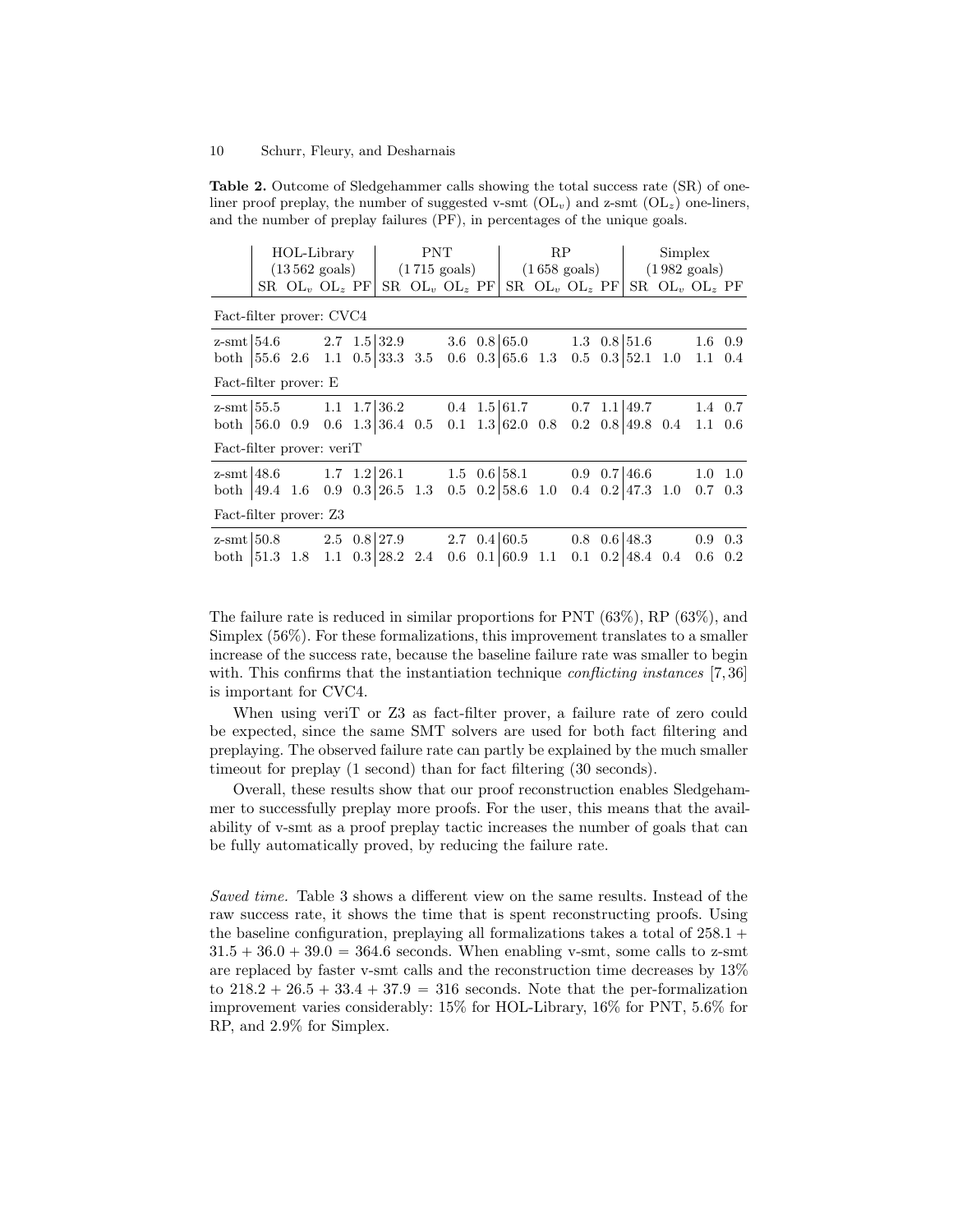<span id="page-9-0"></span>Table 2. Outcome of Sledgehammer calls showing the total success rate (SR) of oneliner proof preplay, the number of suggested v-smt  $(OL_v)$  and z-smt  $(OL_z)$  one-liners, and the number of preplay failures (PF), in percentages of the unique goals.

|                                                                                                                                          | HOL-Library |                             |  |                                                    | <b>PNT</b>                             |  |                                                                     |                                               | RP                                   |     |                     |  | Simplex |                                     |                                                         |     |
|------------------------------------------------------------------------------------------------------------------------------------------|-------------|-----------------------------|--|----------------------------------------------------|----------------------------------------|--|---------------------------------------------------------------------|-----------------------------------------------|--------------------------------------|-----|---------------------|--|---------|-------------------------------------|---------------------------------------------------------|-----|
|                                                                                                                                          |             |                             |  | $(13\,562 \text{ goals})$ $(1\,715 \text{ goals})$ |                                        |  |                                                                     | $(1658 \text{ goals})$ $(1982 \text{ goals})$ |                                      |     |                     |  |         |                                     |                                                         |     |
|                                                                                                                                          |             | $SR$ $OL_{v}$ $OL_{z}$ $PF$ |  |                                                    |                                        |  | $SR$ $OL_{v}$ $OL_{z}$ $PF$                                         |                                               |                                      |     | SR $OL_v$ $OL_z$ PF |  |         |                                     | SR $OL_v$ $OL_z$ PF                                     |     |
| Fact-filter prover: CVC4                                                                                                                 |             |                             |  |                                                    |                                        |  |                                                                     |                                               |                                      |     |                     |  |         |                                     |                                                         |     |
| $z$ -smt $\begin{bmatrix} 54.6 \\ 2.7 \\ 1.5 \end{bmatrix}$ 32.9 3.6 0.8 $\begin{bmatrix} 65.0 \\ 1.3 \\ 0.8 \end{bmatrix}$ 51.6 1.6 0.9 |             |                             |  |                                                    |                                        |  |                                                                     |                                               |                                      |     |                     |  |         |                                     |                                                         |     |
| both $ 55.6 \t2.6 \t1.1 \t0.5  33.3 \t3.5 \t$                                                                                            |             |                             |  |                                                    |                                        |  |                                                                     |                                               | $0.6 \quad 0.3 \mid 65.6 \quad 1.3$  |     |                     |  |         |                                     | $0.5$ $0.3$   $52.1$ $1.0$ $1.1$ $0.4$                  |     |
| Fact-filter prover: E                                                                                                                    |             |                             |  |                                                    |                                        |  |                                                                     |                                               |                                      |     |                     |  |         |                                     |                                                         |     |
| z-smt $\vert 55.5 \vert$                                                                                                                 |             |                             |  |                                                    |                                        |  | 1.1 $1.7 \mid 36.2$ 0.4 $1.5 \mid 61.7$ 0.7 $1.1 \mid 49.7$ 1.4 0.7 |                                               |                                      |     |                     |  |         |                                     |                                                         |     |
| both $ 56.0 \t0.9 \t0.6 \t1.3 36.4 \t0.5$                                                                                                |             |                             |  |                                                    |                                        |  |                                                                     |                                               | $0.1 \quad 1.3 \mid 62.0 \quad 0.8$  |     |                     |  |         |                                     | $0.2 \quad 0.8 \mid 49.8 \quad 0.4 \quad 1.1 \quad 0.6$ |     |
| Fact-filter prover: veriT                                                                                                                |             |                             |  |                                                    |                                        |  |                                                                     |                                               |                                      |     |                     |  |         |                                     |                                                         |     |
| $z$ -smt $48.6$                                                                                                                          |             |                             |  |                                                    |                                        |  | 1.7 $1.2 26.1$ 1.5 $0.6 58.1$ 0.9 $0.7 46.6$ 1.0 1.0                |                                               |                                      |     |                     |  |         |                                     |                                                         |     |
| both $ 49.4 \t1.6 \t0.9 \t0.3 26.5 \t1.3$                                                                                                |             |                             |  |                                                    |                                        |  |                                                                     |                                               | $0.5 \quad 0.2 \mid 58.6 \quad 1.0$  |     |                     |  |         | $0.4 \quad 0.2 \mid 47.3 \quad 1.0$ | $0.7 \quad 0.3$                                         |     |
| Fact-filter prover: Z3                                                                                                                   |             |                             |  |                                                    |                                        |  |                                                                     |                                               |                                      |     |                     |  |         |                                     |                                                         |     |
| $z$ -smt $ 50.8$                                                                                                                         |             |                             |  |                                                    | $2.5 \quad 0.8 \,   27.9$              |  |                                                                     |                                               | 2.7 $0.4 60.5$                       |     |                     |  |         | $0.8 \quad 0.6 \mid 48.3$           | 0.9                                                     | 0.3 |
| both                                                                                                                                     | 51.3 1.8    |                             |  |                                                    | $1.1 \quad 0.3 \,   \, 28.2 \quad 2.4$ |  |                                                                     |                                               | $0.6 \quad 0.1 \,   \, 60.9 \rangle$ | 1.1 |                     |  |         | $0.1 \quad 0.2 \mid 48.4 \quad 0.4$ | 0.6                                                     | 0.2 |

The failure rate is reduced in similar proportions for PNT (63%), RP (63%), and Simplex (56%). For these formalizations, this improvement translates to a smaller increase of the success rate, because the baseline failure rate was smaller to begin with. This confirms that the instantiation technique *conflicting instances* [\[7,](#page-15-3)36] is important for CVC4.

When using verit or Z3 as fact-filter prover, a failure rate of zero could be expected, since the same SMT solvers are used for both fact filtering and preplaying. The observed failure rate can partly be explained by the much smaller timeout for preplay (1 second) than for fact filtering (30 seconds).

Overall, these results show that our proof reconstruction enables Sledgehammer to successfully preplay more proofs. For the user, this means that the availability of v-smt as a proof preplay tactic increases the number of goals that can be fully automatically proved, by reducing the failure rate.

Saved time. Table [3](#page-10-1) shows a different view on the same results. Instead of the raw success rate, it shows the time that is spent reconstructing proofs. Using the baseline configuration, preplaying all formalizations takes a total of  $258.1 +$  $31.5 + 36.0 + 39.0 = 364.6$  seconds. When enabling v-smt, some calls to z-smt are replaced by faster v-smt calls and the reconstruction time decreases by 13% to  $218.2 + 26.5 + 33.4 + 37.9 = 316$  seconds. Note that the per-formalization improvement varies considerably: 15% for HOL-Library, 16% for PNT, 5.6% for RP, and 2.9% for Simplex.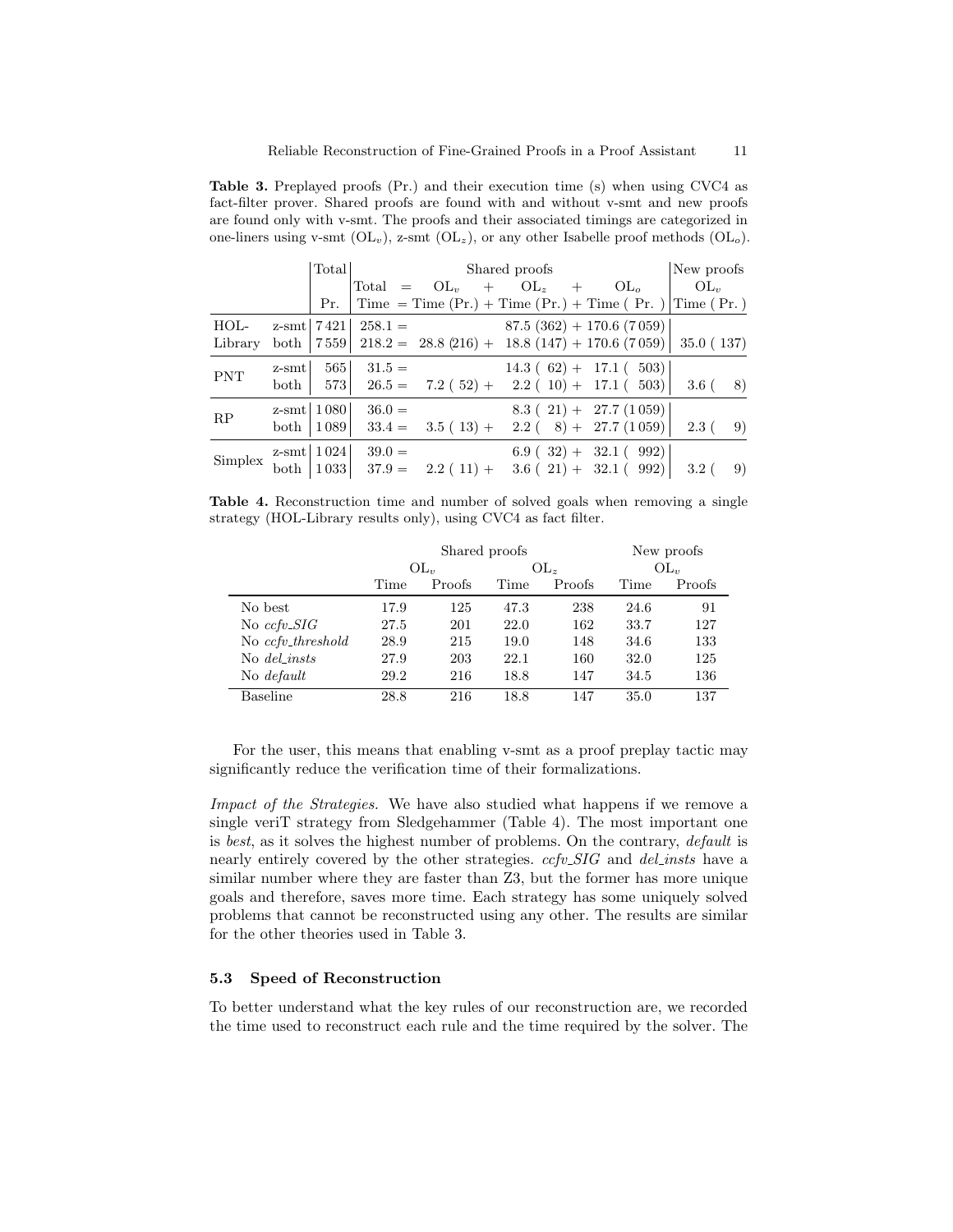<span id="page-10-1"></span>Table 3. Preplayed proofs (Pr.) and their execution time (s) when using CVC4 as fact-filter prover. Shared proofs are found with and without v-smt and new proofs are found only with v-smt. The proofs and their associated timings are categorized in one-liners using v-smt  $(\text{OL}_v)$ , z-smt  $(\text{OL}_z)$ , or any other Isabelle proof methods  $(\text{OL}_o)$ .

|            | Total | Shared proofs            | New proofs                                                                                 |                           |  |  |                         |      |
|------------|-------|--------------------------|--------------------------------------------------------------------------------------------|---------------------------|--|--|-------------------------|------|
|            |       |                          | Total = $OL_v$ + $OL_z$ + $OL_o$                                                           |                           |  |  | $\vert$ OL <sub>v</sub> |      |
|            | Pr.   |                          | $\vert$ Time = Time (Pr.) + Time (Pr.) + Time (Pr.) $\vert$ Time (Pr.)                     |                           |  |  |                         |      |
| HOL-       |       |                          | z-smt   $7\,421$   $258.1 = 87.5(362) + 170.6(7059)$                                       |                           |  |  |                         |      |
| Library    |       |                          | both $ 7\,559 $ 218.2 = 28.8 (216) + 18.8 (147) + 170.6 (7059) 35.0 (137)                  |                           |  |  |                         |      |
| <b>PNT</b> |       |                          | $z\text{-}smt$ 565 $31.5 =$<br>both   573   26.5 = $7.2(52) + 2.2(10) + 17.1(503)$   3.6 ( | $14.3(62) + 17.1(503)$    |  |  |                         | - 8) |
|            |       |                          |                                                                                            |                           |  |  |                         |      |
| RP         |       | $z$ -smt   1080   36.0 = |                                                                                            | $8.3(21) + 27.7(1059)$    |  |  |                         |      |
|            |       |                          | both $ 1089 $ 33.4 = 3.5 (13) + 2.2 (8) + 27.7 (1059) 2.3 (                                |                           |  |  |                         | - 9) |
| Simplex    |       | $z$ -smt   1024   39.0 = |                                                                                            | $6.9$ ( 32) + 32.1 ( 992) |  |  |                         |      |
|            |       |                          | both $ 1033 $ 37.9 = 2.2 (11) + 3.6 (21) + 32.1 (992) 3.2 (                                |                           |  |  |                         | - 9) |

<span id="page-10-2"></span>Table 4. Reconstruction time and number of solved goals when removing a single strategy (HOL-Library results only), using CVC4 as fact filter.

|                   |      | Shared proofs | New proofs |        |          |        |  |
|-------------------|------|---------------|------------|--------|----------|--------|--|
|                   |      | $OL_{v}$      |            | $OL_z$ | $OL_{v}$ |        |  |
|                   | Time | Proofs        | Time       | Proofs | Time     | Proofs |  |
| No best           | 17.9 | 125           | 47.3       | 238    | 24.6     | 91     |  |
| No $ccfv\_SIG$    | 27.5 | 201           | 22.0       | 162    | 33.7     | 127    |  |
| No ccfv_threshold | 28.9 | 215           | 19.0       | 148    | 34.6     | 133    |  |
| No del insts      | 27.9 | 203           | 22.1       | 160    | 32.0     | 125    |  |
| No <i>default</i> | 29.2 | 216           | 18.8       | 147    | 34.5     | 136    |  |
| Baseline          | 28.8 | 216           | 18.8       | 147    | 35.0     | 137    |  |

For the user, this means that enabling v-smt as a proof preplay tactic may significantly reduce the verification time of their formalizations.

Impact of the Strategies. We have also studied what happens if we remove a single veriT strategy from Sledgehammer (Table [4\)](#page-10-2). The most important one is best, as it solves the highest number of problems. On the contrary, default is nearly entirely covered by the other strategies.  $ccfv\_SIG$  and del *insts* have a similar number where they are faster than Z3, but the former has more unique goals and therefore, saves more time. Each strategy has some uniquely solved problems that cannot be reconstructed using any other. The results are similar for the other theories used in Table [3.](#page-10-1)

### <span id="page-10-0"></span>5.3 Speed of Reconstruction

To better understand what the key rules of our reconstruction are, we recorded the time used to reconstruct each rule and the time required by the solver. The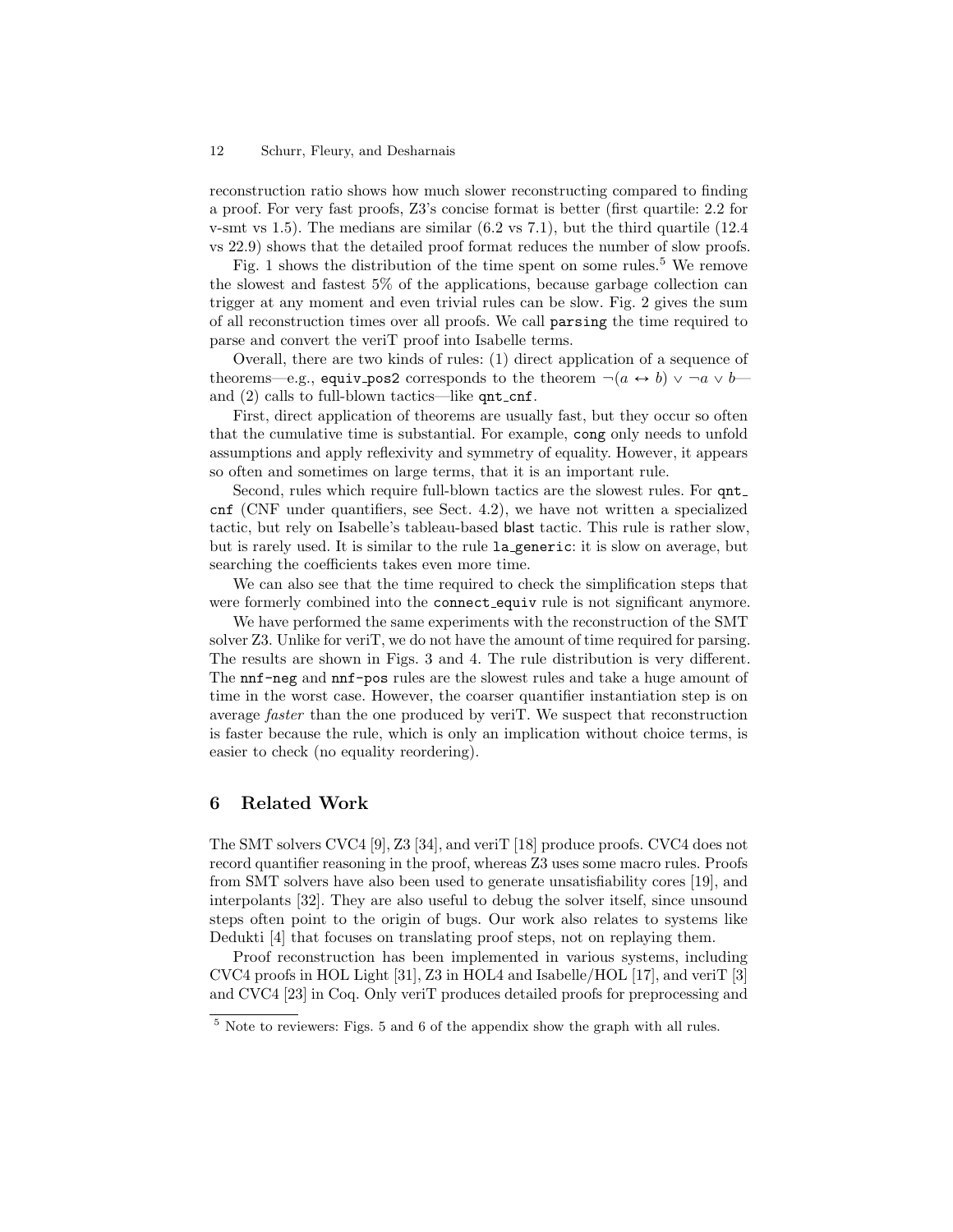reconstruction ratio shows how much slower reconstructing compared to finding a proof. For very fast proofs, Z3's concise format is better (first quartile: 2.2 for v-smt vs 1.5). The medians are similar (6.2 vs 7.1), but the third quartile (12.4 vs 22.9) shows that the detailed proof format reduces the number of slow proofs.

Fig. [1](#page-12-0) shows the distribution of the time spent on some rules.<sup>[5](#page-11-1)</sup> We remove the slowest and fastest 5% of the applications, because garbage collection can trigger at any moment and even trivial rules can be slow. Fig. [2](#page-12-1) gives the sum of all reconstruction times over all proofs. We call parsing the time required to parse and convert the veriT proof into Isabelle terms.

Overall, there are two kinds of rules: (1) direct application of a sequence of theorems—e.g., equiv pos2 corresponds to the theorem  $\neg (a \leftrightarrow b) \vee \neg a \vee b$  and  $(2)$  calls to full-blown tactics—like  $\varphi$ nt cnf.

First, direct application of theorems are usually fast, but they occur so often that the cumulative time is substantial. For example, cong only needs to unfold assumptions and apply reflexivity and symmetry of equality. However, it appears so often and sometimes on large terms, that it is an important rule.

Second, rules which require full-blown tactics are the slowest rules. For qnt cnf (CNF under quantifiers, see Sect. [4.2\)](#page-4-0), we have not written a specialized tactic, but rely on Isabelle's tableau-based blast tactic. This rule is rather slow, but is rarely used. It is similar to the rule la generic: it is slow on average, but searching the coefficients takes even more time.

We can also see that the time required to check the simplification steps that were formerly combined into the connect equiv rule is not significant anymore.

We have performed the same experiments with the reconstruction of the SMT solver Z3. Unlike for veriT, we do not have the amount of time required for parsing. The results are shown in Figs. [3](#page-13-0) and [4.](#page-13-1) The rule distribution is very different. The nnf-neg and nnf-pos rules are the slowest rules and take a huge amount of time in the worst case. However, the coarser quantifier instantiation step is on average faster than the one produced by veriT. We suspect that reconstruction is faster because the rule, which is only an implication without choice terms, is easier to check (no equality reordering).

# <span id="page-11-0"></span>6 Related Work

The SMT solvers CVC4 [\[9\]](#page-15-0), Z3 [\[34\]](#page-17-0), and veriT [\[18\]](#page-16-4) produce proofs. CVC4 does not record quantifier reasoning in the proof, whereas Z3 uses some macro rules. Proofs from SMT solvers have also been used to generate unsatisfiability cores [\[19\]](#page-16-11), and interpolants [\[32\]](#page-17-13). They are also useful to debug the solver itself, since unsound steps often point to the origin of bugs. Our work also relates to systems like Dedukti [\[4\]](#page-15-7) that focuses on translating proof steps, not on replaying them.

Proof reconstruction has been implemented in various systems, including CVC4 proofs in HOL Light [\[31\]](#page-17-14), Z3 in HOL4 and Isabelle/HOL [\[17\]](#page-16-2), and veriT [\[3\]](#page-15-8) and CVC4 [\[23\]](#page-16-12) in Coq. Only veriT produces detailed proofs for preprocessing and

<span id="page-11-1"></span><sup>5</sup> Note to reviewers: Figs. [5](#page-19-0) and [6](#page-20-0) of the appendix show the graph with all rules.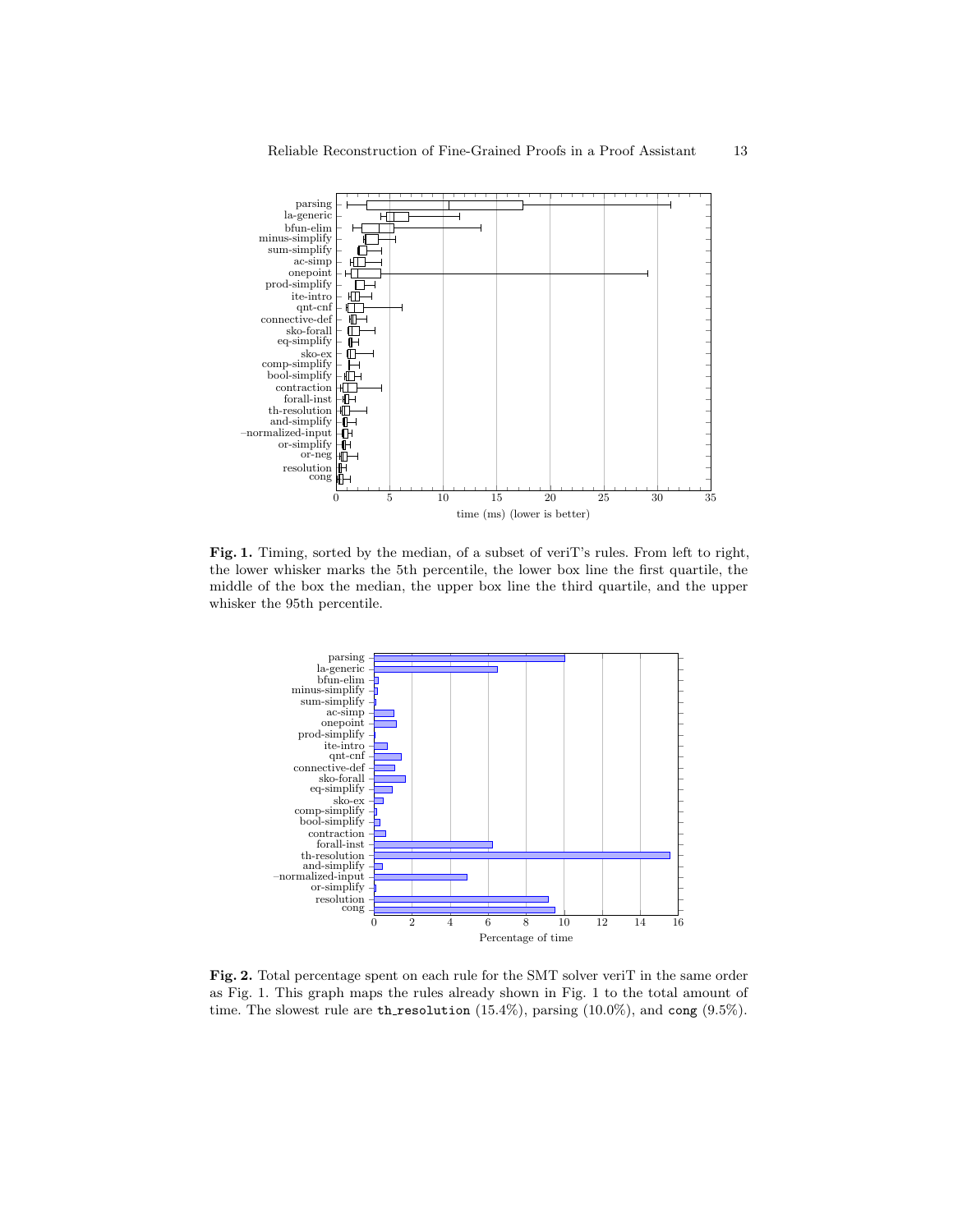

<span id="page-12-0"></span>Fig. 1. Timing, sorted by the median, of a subset of veriT's rules. From left to right, the lower whisker marks the 5th percentile, the lower box line the first quartile, the middle of the box the median, the upper box line the third quartile, and the upper whisker the 95th percentile.



<span id="page-12-1"></span>Fig. 2. Total percentage spent on each rule for the SMT solver veriT in the same order as Fig. [1.](#page-12-0) This graph maps the rules already shown in Fig. [1](#page-12-0) to the total amount of time. The slowest rule are th\_resolution  $(15.4\%)$ , parsing  $(10.0\%)$ , and cong  $(9.5\%)$ .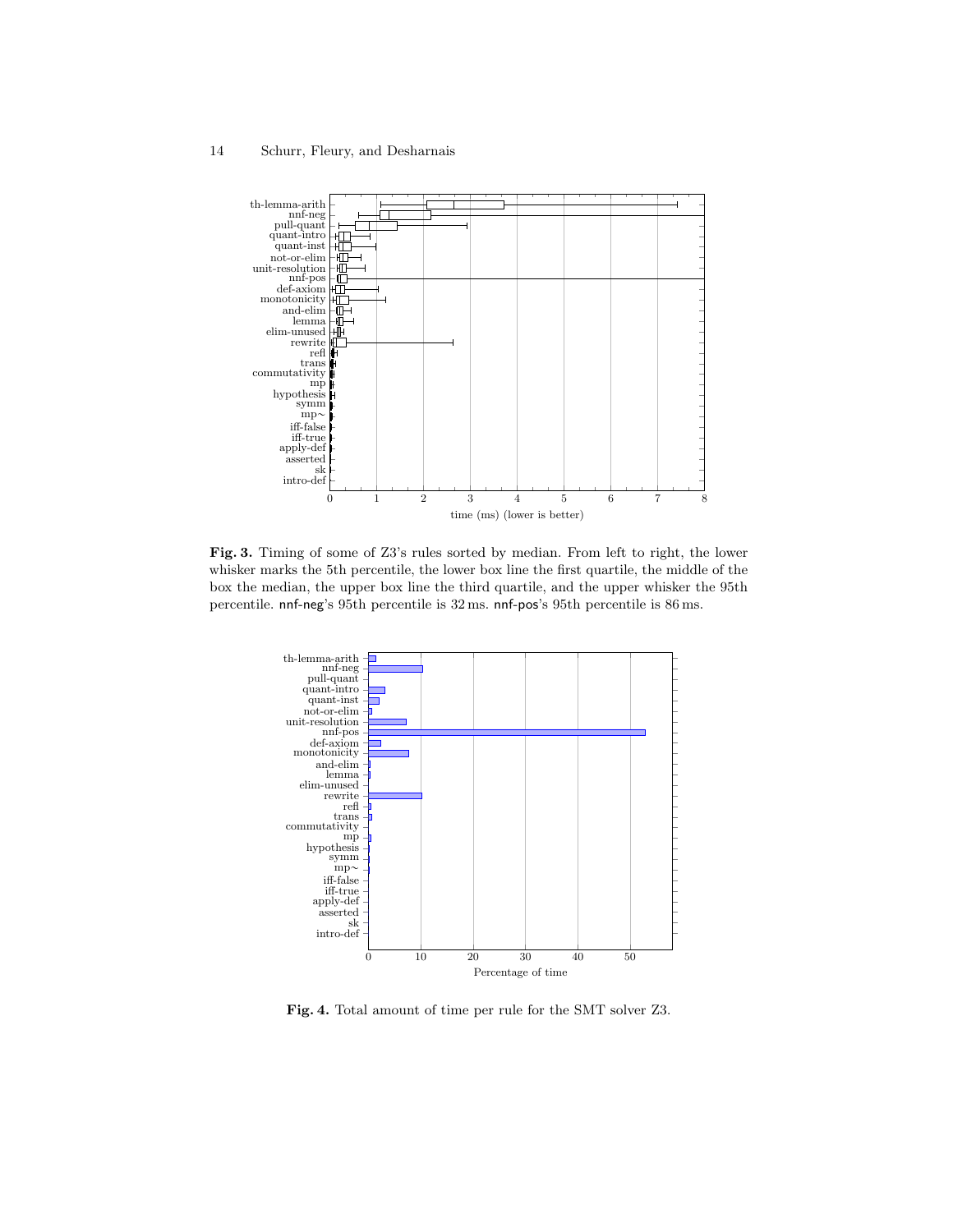

<span id="page-13-0"></span>Fig. 3. Timing of some of Z3's rules sorted by median. From left to right, the lower whisker marks the 5th percentile, the lower box line the first quartile, the middle of the box the median, the upper box line the third quartile, and the upper whisker the 95th percentile. nnf-neg's 95th percentile is 32 ms. nnf-pos's 95th percentile is 86 ms.



<span id="page-13-1"></span>Fig. 4. Total amount of time per rule for the SMT solver Z3.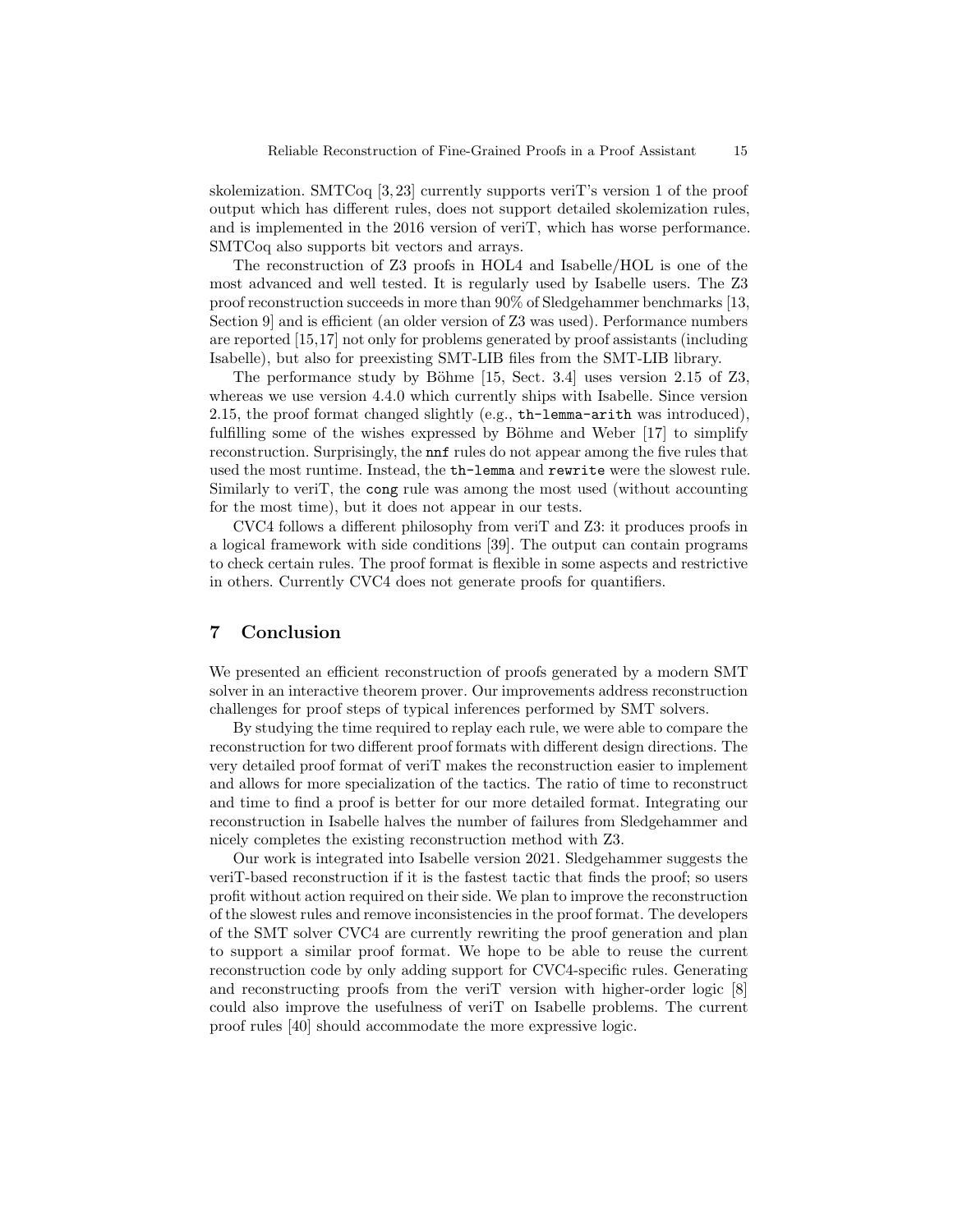skolemization. SMTCoq [\[3,](#page-15-8) [23\]](#page-16-12) currently supports veriT's version 1 of the proof output which has different rules, does not support detailed skolemization rules, and is implemented in the 2016 version of veriT, which has worse performance. SMTCoq also supports bit vectors and arrays.

The reconstruction of Z3 proofs in HOL4 and Isabelle/HOL is one of the most advanced and well tested. It is regularly used by Isabelle users. The Z3 proof reconstruction succeeds in more than 90% of Sledgehammer benchmarks [\[13,](#page-16-3) Section 9] and is efficient (an older version of Z3 was used). Performance numbers are reported [\[15,](#page-16-13)[17\]](#page-16-2) not only for problems generated by proof assistants (including Isabelle), but also for preexisting SMT-LIB files from the SMT-LIB library.

The performance study by Böhme  $[15, Sect. 3.4]$  $[15, Sect. 3.4]$  uses version 2.15 of Z3, whereas we use version 4.4.0 which currently ships with Isabelle. Since version 2.15, the proof format changed slightly (e.g., th-lemma-arith was introduced), fulfilling some of the wishes expressed by Böhme and Weber  $[17]$  to simplify reconstruction. Surprisingly, the nnf rules do not appear among the five rules that used the most runtime. Instead, the th-lemma and rewrite were the slowest rule. Similarly to veriT, the cong rule was among the most used (without accounting for the most time), but it does not appear in our tests.

CVC4 follows a different philosophy from veriT and Z3: it produces proofs in a logical framework with side conditions [\[39\]](#page-17-15). The output can contain programs to check certain rules. The proof format is flexible in some aspects and restrictive in others. Currently CVC4 does not generate proofs for quantifiers.

# 7 Conclusion

We presented an efficient reconstruction of proofs generated by a modern SMT solver in an interactive theorem prover. Our improvements address reconstruction challenges for proof steps of typical inferences performed by SMT solvers.

By studying the time required to replay each rule, we were able to compare the reconstruction for two different proof formats with different design directions. The very detailed proof format of veriT makes the reconstruction easier to implement and allows for more specialization of the tactics. The ratio of time to reconstruct and time to find a proof is better for our more detailed format. Integrating our reconstruction in Isabelle halves the number of failures from Sledgehammer and nicely completes the existing reconstruction method with Z3.

Our work is integrated into Isabelle version 2021. Sledgehammer suggests the veriT-based reconstruction if it is the fastest tactic that finds the proof; so users profit without action required on their side. We plan to improve the reconstruction of the slowest rules and remove inconsistencies in the proof format. The developers of the SMT solver CVC4 are currently rewriting the proof generation and plan to support a similar proof format. We hope to be able to reuse the current reconstruction code by only adding support for CVC4-specific rules. Generating and reconstructing proofs from the veriT version with higher-order logic [\[8\]](#page-15-9) could also improve the usefulness of veriT on Isabelle problems. The current proof rules [\[40\]](#page-17-1) should accommodate the more expressive logic.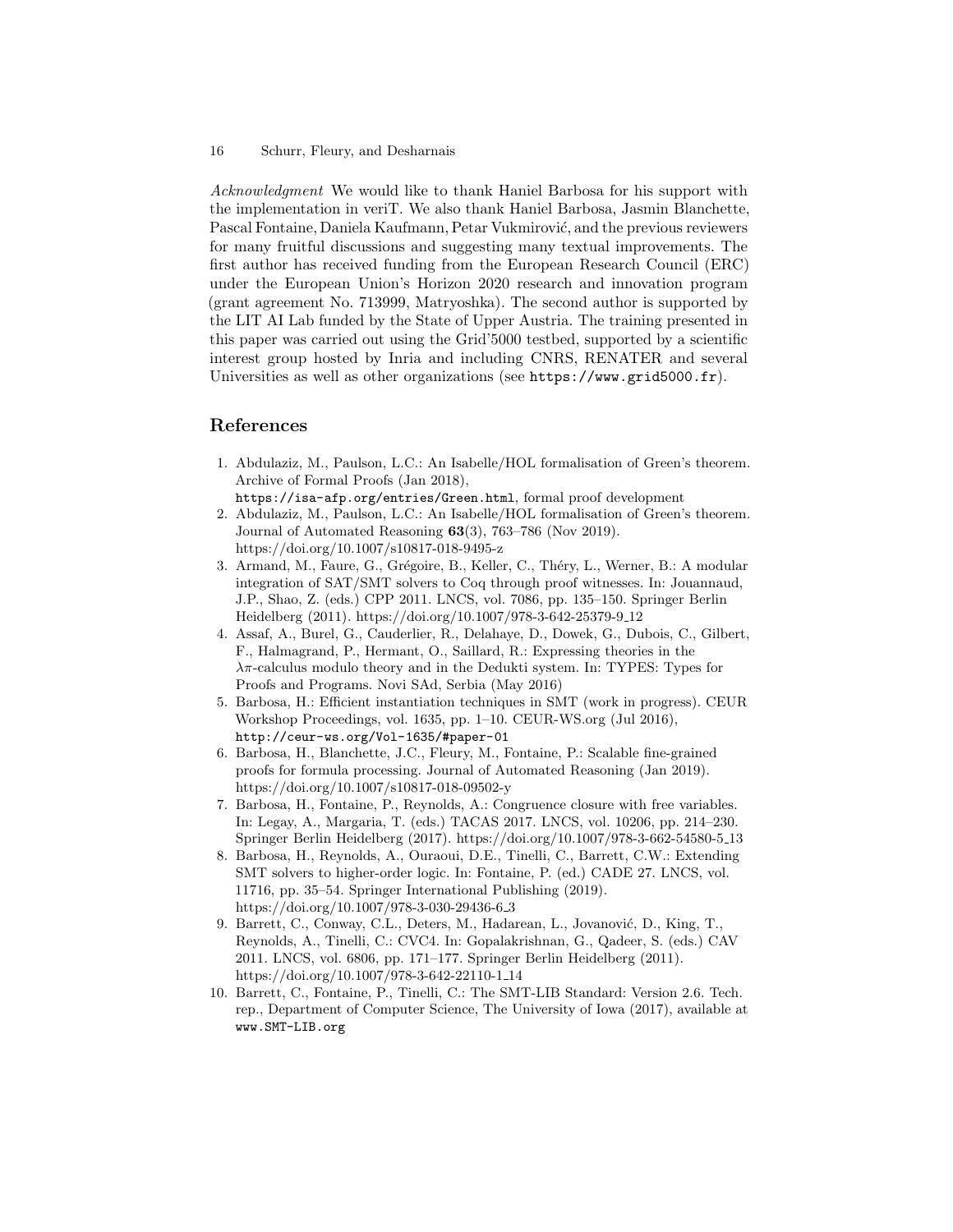Acknowledgment We would like to thank Haniel Barbosa for his support with the implementation in veriT. We also thank Haniel Barbosa, Jasmin Blanchette, Pascal Fontaine, Daniela Kaufmann, Petar Vukmirović, and the previous reviewers for many fruitful discussions and suggesting many textual improvements. The first author has received funding from the European Research Council (ERC) under the European Union's Horizon 2020 research and innovation program (grant agreement No. 713999, Matryoshka). The second author is supported by the LIT AI Lab funded by the State of Upper Austria. The training presented in this paper was carried out using the Grid'5000 testbed, supported by a scientific interest group hosted by Inria and including CNRS, RENATER and several Universities as well as other organizations (see <https://www.grid5000.fr>).

## References

- <span id="page-15-4"></span>1. Abdulaziz, M., Paulson, L.C.: An Isabelle/HOL formalisation of Green's theorem. Archive of Formal Proofs (Jan 2018), <https://isa-afp.org/entries/Green.html>, formal proof development
- <span id="page-15-5"></span>2. Abdulaziz, M., Paulson, L.C.: An Isabelle/HOL formalisation of Green's theorem. Journal of Automated Reasoning 63(3), 763–786 (Nov 2019). <https://doi.org/10.1007/s10817-018-9495-z>
- <span id="page-15-8"></span>3. Armand, M., Faure, G., Grégoire, B., Keller, C., Théry, L., Werner, B.: A modular integration of SAT/SMT solvers to Coq through proof witnesses. In: Jouannaud, J.P., Shao, Z. (eds.) CPP 2011. LNCS, vol. 7086, pp. 135–150. Springer Berlin Heidelberg (2011). [https://doi.org/10.1007/978-3-642-25379-9](https://doi.org/10.1007/978-3-642-25379-9_12) 12
- <span id="page-15-7"></span>4. Assaf, A., Burel, G., Cauderlier, R., Delahaye, D., Dowek, G., Dubois, C., Gilbert, F., Halmagrand, P., Hermant, O., Saillard, R.: Expressing theories in the  $\lambda \pi$ -calculus modulo theory and in the Dedukti system. In: TYPES: Types for Proofs and Programs. Novi SAd, Serbia (May 2016)
- <span id="page-15-6"></span>5. Barbosa, H.: Efficient instantiation techniques in SMT (work in progress). CEUR Workshop Proceedings, vol. 1635, pp. 1–10. CEUR-WS.org (Jul 2016), <http://ceur-ws.org/Vol-1635/#paper-01>
- <span id="page-15-1"></span>6. Barbosa, H., Blanchette, J.C., Fleury, M., Fontaine, P.: Scalable fine-grained proofs for formula processing. Journal of Automated Reasoning (Jan 2019). <https://doi.org/10.1007/s10817-018-09502-y>
- <span id="page-15-3"></span>7. Barbosa, H., Fontaine, P., Reynolds, A.: Congruence closure with free variables. In: Legay, A., Margaria, T. (eds.) TACAS 2017. LNCS, vol. 10206, pp. 214–230. Springer Berlin Heidelberg (2017). [https://doi.org/10.1007/978-3-662-54580-5](https://doi.org/10.1007/978-3-662-54580-5_13) 13
- <span id="page-15-9"></span>8. Barbosa, H., Reynolds, A., Ouraoui, D.E., Tinelli, C., Barrett, C.W.: Extending SMT solvers to higher-order logic. In: Fontaine, P. (ed.) CADE 27. LNCS, vol. 11716, pp. 35–54. Springer International Publishing (2019). [https://doi.org/10.1007/978-3-030-29436-6](https://doi.org/10.1007/978-3-030-29436-6_3) 3
- <span id="page-15-0"></span>9. Barrett, C., Conway, C.L., Deters, M., Hadarean, L., Jovanović, D., King, T., Reynolds, A., Tinelli, C.: CVC4. In: Gopalakrishnan, G., Qadeer, S. (eds.) CAV 2011. LNCS, vol. 6806, pp. 171–177. Springer Berlin Heidelberg (2011). [https://doi.org/10.1007/978-3-642-22110-1](https://doi.org/10.1007/978-3-642-22110-1_14) 14
- <span id="page-15-2"></span>10. Barrett, C., Fontaine, P., Tinelli, C.: The SMT-LIB Standard: Version 2.6. Tech. rep., Department of Computer Science, The University of Iowa (2017), available at www.SMT-LIB.org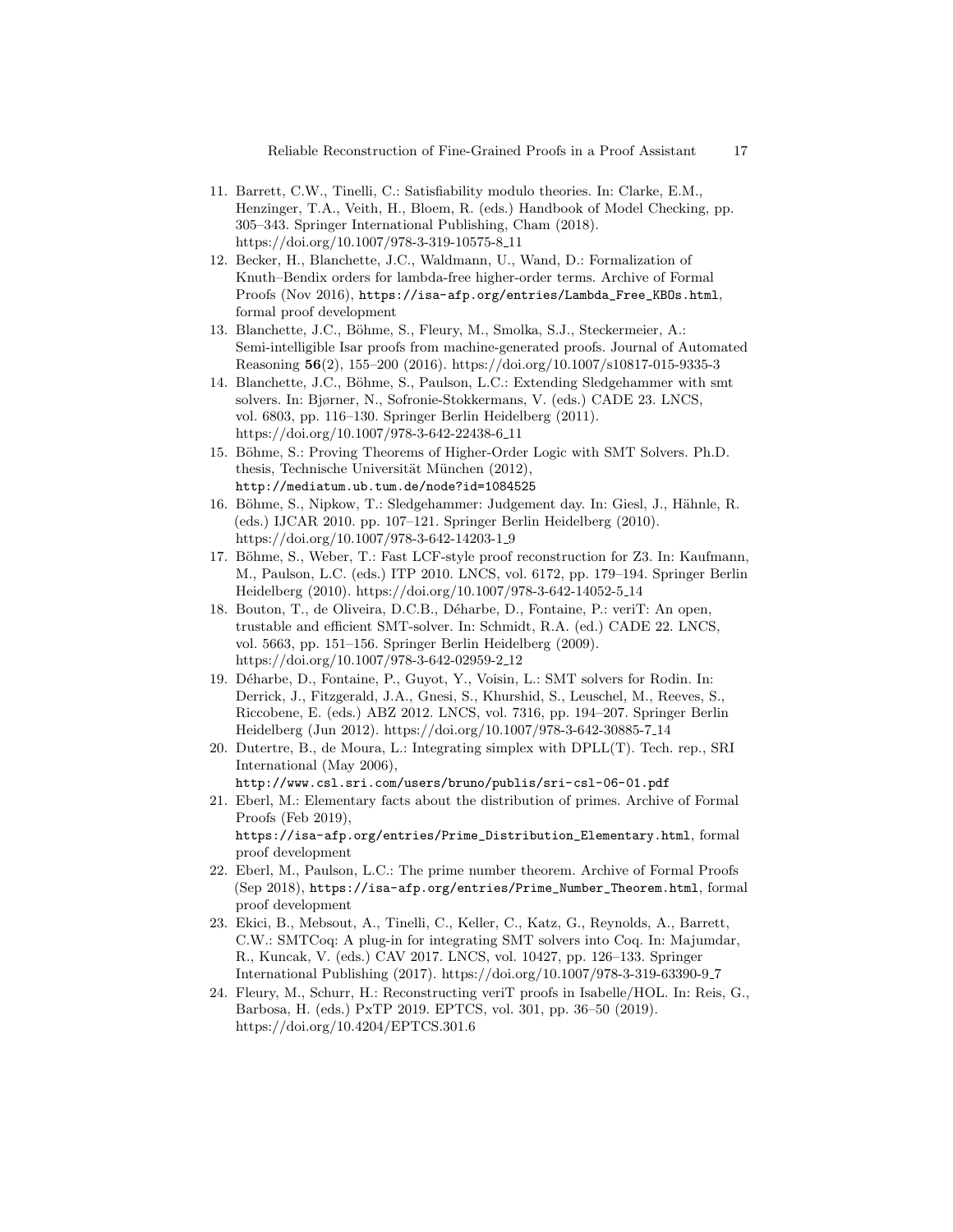- <span id="page-16-1"></span>11. Barrett, C.W., Tinelli, C.: Satisfiability modulo theories. In: Clarke, E.M., Henzinger, T.A., Veith, H., Bloem, R. (eds.) Handbook of Model Checking, pp. 305–343. Springer International Publishing, Cham (2018). [https://doi.org/10.1007/978-3-319-10575-8](https://doi.org/10.1007/978-3-319-10575-8_11) 11
- <span id="page-16-8"></span>12. Becker, H., Blanchette, J.C., Waldmann, U., Wand, D.: Formalization of Knuth–Bendix orders for lambda-free higher-order terms. Archive of Formal Proofs (Nov 2016), [https://isa-afp.org/entries/Lambda\\_Free\\_KBOs.html](https://isa-afp.org/entries/Lambda_Free_KBOs.html), formal proof development
- <span id="page-16-3"></span>13. Blanchette, J.C., Böhme, S., Fleury, M., Smolka, S.J., Steckermeier, A.: Semi-intelligible Isar proofs from machine-generated proofs. Journal of Automated Reasoning 56(2), 155–200 (2016).<https://doi.org/10.1007/s10817-015-9335-3>
- <span id="page-16-0"></span>14. Blanchette, J.C., Böhme, S., Paulson, L.C.: Extending Sledgehammer with smt solvers. In: Bjørner, N., Sofronie-Stokkermans, V. (eds.) CADE 23. LNCS, vol. 6803, pp. 116–130. Springer Berlin Heidelberg (2011). [https://doi.org/10.1007/978-3-642-22438-6](https://doi.org/10.1007/978-3-642-22438-6_11) 11
- <span id="page-16-13"></span>15. Böhme, S.: Proving Theorems of Higher-Order Logic with SMT Solvers. Ph.D. thesis, Technische Universität München (2012), <http://mediatum.ub.tum.de/node?id=1084525>
- <span id="page-16-10"></span>16. Böhme, S., Nipkow, T.: Sledgehammer: Judgement day. In: Giesl, J., Hähnle, R. (eds.) IJCAR 2010. pp. 107–121. Springer Berlin Heidelberg (2010). [https://doi.org/10.1007/978-3-642-14203-1](https://doi.org/10.1007/978-3-642-14203-1_9) 9
- <span id="page-16-2"></span>17. Böhme, S., Weber, T.: Fast LCF-style proof reconstruction for Z3. In: Kaufmann, M., Paulson, L.C. (eds.) ITP 2010. LNCS, vol. 6172, pp. 179–194. Springer Berlin Heidelberg (2010). [https://doi.org/10.1007/978-3-642-14052-5](https://doi.org/10.1007/978-3-642-14052-5_14) 14
- <span id="page-16-4"></span>18. Bouton, T., de Oliveira, D.C.B., D´eharbe, D., Fontaine, P.: veriT: An open, trustable and efficient SMT-solver. In: Schmidt, R.A. (ed.) CADE 22. LNCS, vol. 5663, pp. 151–156. Springer Berlin Heidelberg (2009). [https://doi.org/10.1007/978-3-642-02959-2](https://doi.org/10.1007/978-3-642-02959-2_12) 12
- <span id="page-16-11"></span>19. D´eharbe, D., Fontaine, P., Guyot, Y., Voisin, L.: SMT solvers for Rodin. In: Derrick, J., Fitzgerald, J.A., Gnesi, S., Khurshid, S., Leuschel, M., Reeves, S., Riccobene, E. (eds.) ABZ 2012. LNCS, vol. 7316, pp. 194–207. Springer Berlin Heidelberg (Jun 2012). [https://doi.org/10.1007/978-3-642-30885-7](https://doi.org/10.1007/978-3-642-30885-7_14) 14
- <span id="page-16-6"></span>20. Dutertre, B., de Moura, L.: Integrating simplex with DPLL(T). Tech. rep., SRI International (May 2006), <http://www.csl.sri.com/users/bruno/publis/sri-csl-06-01.pdf>
- <span id="page-16-9"></span>21. Eberl, M.: Elementary facts about the distribution of primes. Archive of Formal Proofs (Feb 2019), [https://isa-afp.org/entries/Prime\\_Distribution\\_Elementary.html](https://isa-afp.org/entries/Prime_Distribution_Elementary.html), formal proof development
- <span id="page-16-7"></span>22. Eberl, M., Paulson, L.C.: The prime number theorem. Archive of Formal Proofs (Sep 2018), [https://isa-afp.org/entries/Prime\\_Number\\_Theorem.html](https://isa-afp.org/entries/Prime_Number_Theorem.html), formal proof development
- <span id="page-16-12"></span>23. Ekici, B., Mebsout, A., Tinelli, C., Keller, C., Katz, G., Reynolds, A., Barrett, C.W.: SMTCoq: A plug-in for integrating SMT solvers into Coq. In: Majumdar, R., Kuncak, V. (eds.) CAV 2017. LNCS, vol. 10427, pp. 126–133. Springer International Publishing (2017). [https://doi.org/10.1007/978-3-319-63390-9](https://doi.org/10.1007/978-3-319-63390-9_7) 7
- <span id="page-16-5"></span>24. Fleury, M., Schurr, H.: Reconstructing veriT proofs in Isabelle/HOL. In: Reis, G., Barbosa, H. (eds.) PxTP 2019. EPTCS, vol. 301, pp. 36–50 (2019). <https://doi.org/10.4204/EPTCS.301.6>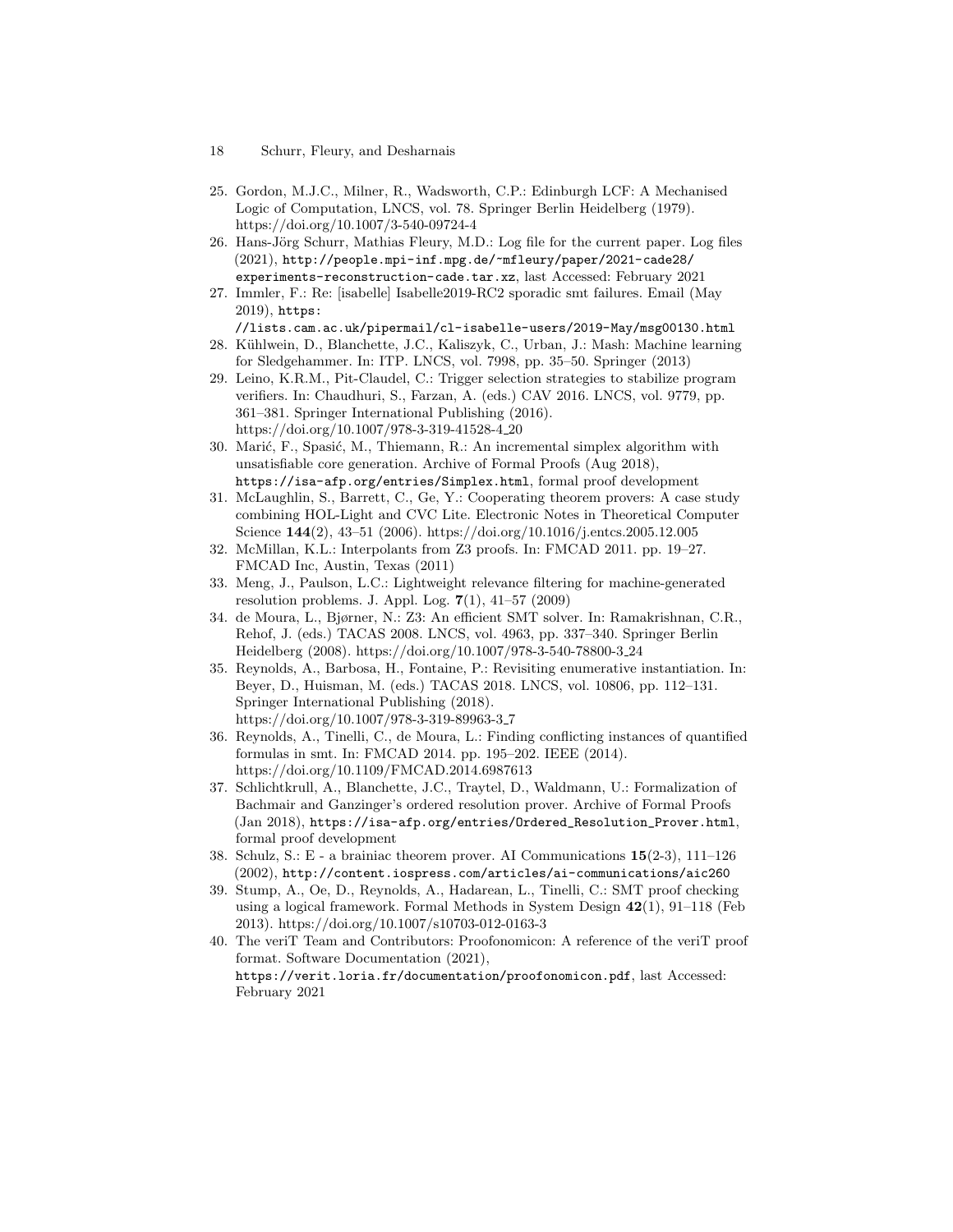- 18 Schurr, Fleury, and Desharnais
- <span id="page-17-2"></span>25. Gordon, M.J.C., Milner, R., Wadsworth, C.P.: Edinburgh LCF: A Mechanised Logic of Computation, LNCS, vol. 78. Springer Berlin Heidelberg (1979). <https://doi.org/10.1007/3-540-09724-4>
- <span id="page-17-12"></span>26. Hans-Jörg Schurr, Mathias Fleury, M.D.: Log file for the current paper. Log files (2021), [http://people.mpi-inf.mpg.de/~mfleury/paper/2021-cade28/](http://people.mpi-inf.mpg.de/~mfleury/paper/2021-cade28/experiments-reconstruction-cade.tar.xz) [experiments-reconstruction-cade.tar.xz](http://people.mpi-inf.mpg.de/~mfleury/paper/2021-cade28/experiments-reconstruction-cade.tar.xz), last Accessed: February 2021
- <span id="page-17-7"></span>27. Immler, F.: Re: [isabelle] Isabelle2019-RC2 sporadic smt failures. Email (May 2019), [https:](https://lists.cam.ac.uk/pipermail/cl-isabelle-users/2019-May/msg00130.html)

[//lists.cam.ac.uk/pipermail/cl-isabelle-users/2019-May/msg00130.html](https://lists.cam.ac.uk/pipermail/cl-isabelle-users/2019-May/msg00130.html)

- <span id="page-17-11"></span>28. Kühlwein, D., Blanchette, J.C., Kaliszyk, C., Urban, J.: Mash: Machine learning for Sledgehammer. In: ITP. LNCS, vol. 7998, pp. 35–50. Springer (2013)
- <span id="page-17-5"></span>29. Leino, K.R.M., Pit-Claudel, C.: Trigger selection strategies to stabilize program verifiers. In: Chaudhuri, S., Farzan, A. (eds.) CAV 2016. LNCS, vol. 9779, pp. 361–381. Springer International Publishing (2016). [https://doi.org/10.1007/978-3-319-41528-4](https://doi.org/10.1007/978-3-319-41528-4_20) 20
- <span id="page-17-9"></span>30. Marić, F., Spasić, M., Thiemann, R.: An incremental simplex algorithm with unsatisfiable core generation. Archive of Formal Proofs (Aug 2018), <https://isa-afp.org/entries/Simplex.html>, formal proof development
- <span id="page-17-14"></span>31. McLaughlin, S., Barrett, C., Ge, Y.: Cooperating theorem provers: A case study combining HOL-Light and CVC Lite. Electronic Notes in Theoretical Computer Science 144(2), 43–51 (2006).<https://doi.org/10.1016/j.entcs.2005.12.005>
- <span id="page-17-13"></span>32. McMillan, K.L.: Interpolants from Z3 proofs. In: FMCAD 2011. pp. 19–27. FMCAD Inc, Austin, Texas (2011)
- <span id="page-17-10"></span>33. Meng, J., Paulson, L.C.: Lightweight relevance filtering for machine-generated resolution problems. J. Appl. Log.  $7(1)$ ,  $41-57$  (2009)
- <span id="page-17-0"></span>34. de Moura, L., Bjørner, N.: Z3: An efficient SMT solver. In: Ramakrishnan, C.R., Rehof, J. (eds.) TACAS 2008. LNCS, vol. 4963, pp. 337–340. Springer Berlin Heidelberg (2008). [https://doi.org/10.1007/978-3-540-78800-3](https://doi.org/10.1007/978-3-540-78800-3_24) 24
- <span id="page-17-6"></span>35. Reynolds, A., Barbosa, H., Fontaine, P.: Revisiting enumerative instantiation. In: Beyer, D., Huisman, M. (eds.) TACAS 2018. LNCS, vol. 10806, pp. 112–131. Springer International Publishing (2018). [https://doi.org/10.1007/978-3-319-89963-3](https://doi.org/10.1007/978-3-319-89963-3_7) 7
- <span id="page-17-3"></span>36. Reynolds, A., Tinelli, C., de Moura, L.: Finding conflicting instances of quantified formulas in smt. In: FMCAD 2014. pp. 195–202. IEEE (2014). <https://doi.org/10.1109/FMCAD.2014.6987613>
- <span id="page-17-8"></span>37. Schlichtkrull, A., Blanchette, J.C., Traytel, D., Waldmann, U.: Formalization of Bachmair and Ganzinger's ordered resolution prover. Archive of Formal Proofs (Jan 2018), [https://isa-afp.org/entries/Ordered\\_Resolution\\_Prover.html](https://isa-afp.org/entries/Ordered_Resolution_Prover.html), formal proof development
- <span id="page-17-4"></span>38. Schulz, S.: E - a brainiac theorem prover. AI Communications 15(2-3), 111–126 (2002), <http://content.iospress.com/articles/ai-communications/aic260>
- <span id="page-17-15"></span>39. Stump, A., Oe, D., Reynolds, A., Hadarean, L., Tinelli, C.: SMT proof checking using a logical framework. Formal Methods in System Design 42(1), 91–118 (Feb 2013).<https://doi.org/10.1007/s10703-012-0163-3>
- <span id="page-17-1"></span>40. The veriT Team and Contributors: Proofonomicon: A reference of the veriT proof format. Software Documentation (2021), <https://verit.loria.fr/documentation/proofonomicon.pdf>, last Accessed: February 2021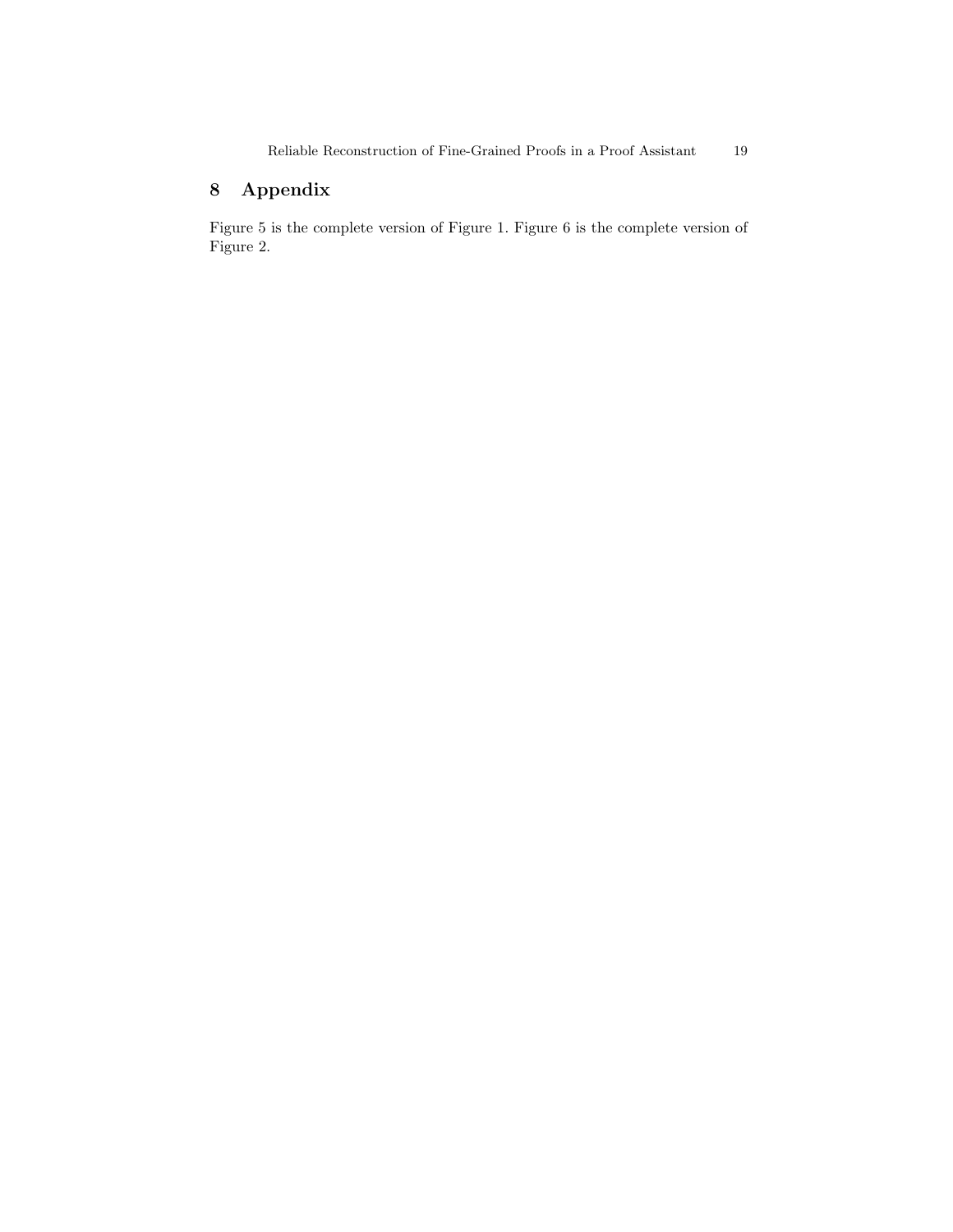# 8 Appendix

Figure [5](#page-19-0) is the complete version of Figure [1.](#page-12-0) Figure [6](#page-20-0) is the complete version of Figure [2.](#page-12-1)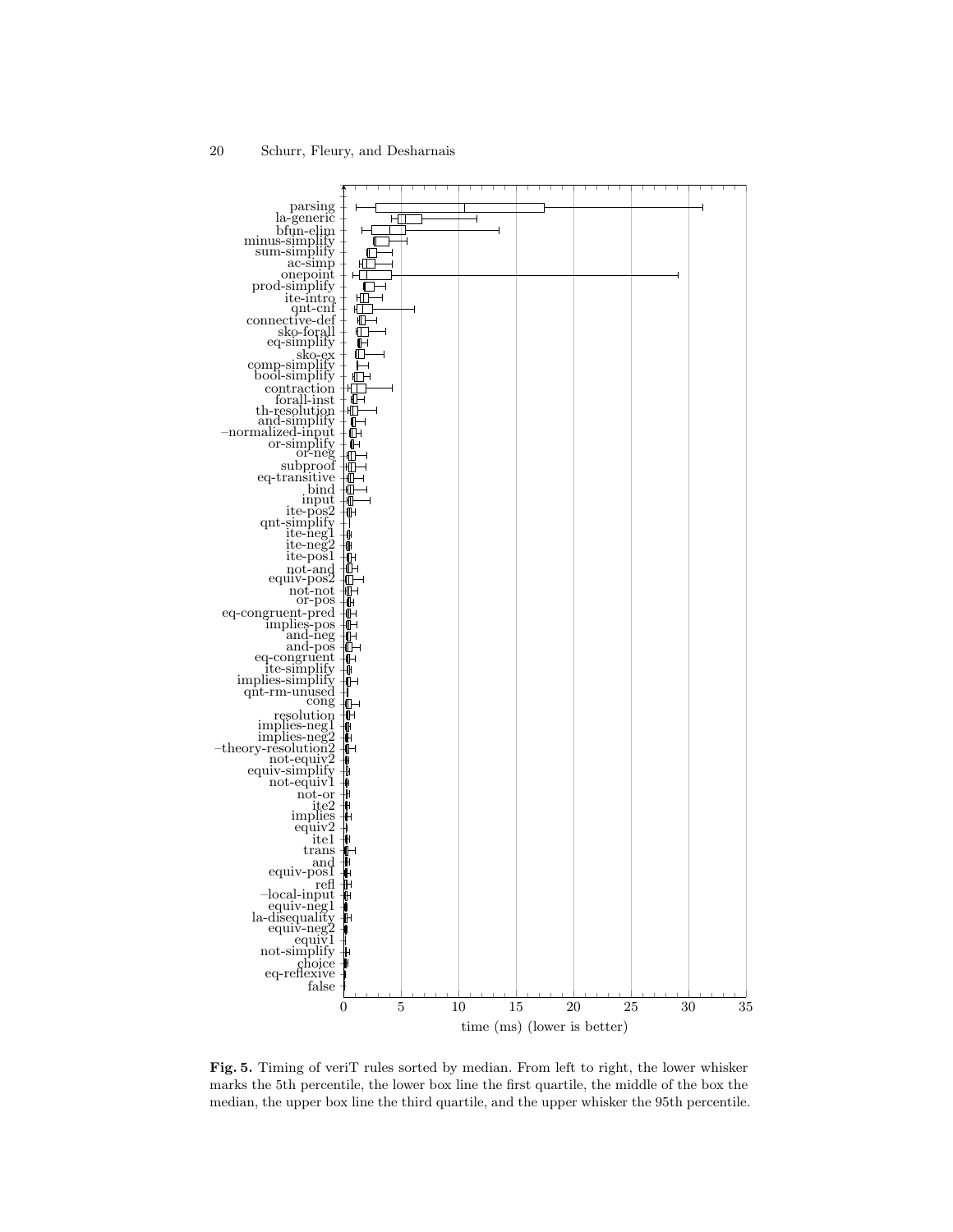

<span id="page-19-0"></span>Fig. 5. Timing of veriT rules sorted by median. From left to right, the lower whisker marks the 5th percentile, the lower box line the first quartile, the middle of the box the median, the upper box line the third quartile, and the upper whisker the 95th percentile.